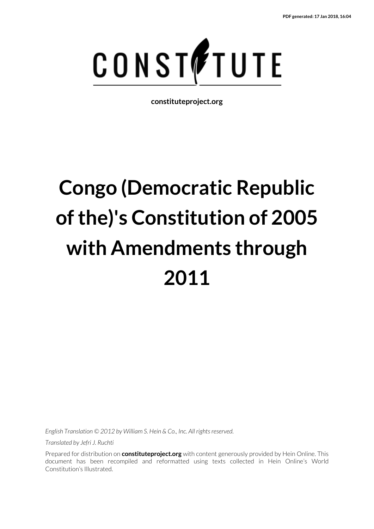

**constituteproject.org**

# **Congo (Democratic Republic of the)'s Constitution of 2005 with Amendments through 2011**

*English Translation © 2012 by William S. Hein & Co., Inc. All rights reserved.*

*Translated by Jefri J. Ruchti*

Prepared for distribution on **constituteproject.org** with content generously provided by Hein Online. This document has been recompiled and reformatted using texts collected in Hein Online's World Constitution's Illustrated.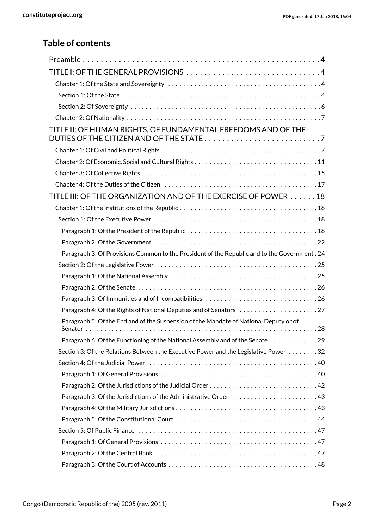# **Table of contents**

| TITLE I: OF THE GENERAL PROVISIONS 4                                                          |
|-----------------------------------------------------------------------------------------------|
|                                                                                               |
|                                                                                               |
|                                                                                               |
|                                                                                               |
| TITLE II: OF HUMAN RIGHTS, OF FUNDAMENTAL FREEDOMS AND OF THE                                 |
|                                                                                               |
|                                                                                               |
|                                                                                               |
|                                                                                               |
| TITLE III: OF THE ORGANIZATION AND OF THE EXERCISE OF POWER 18                                |
|                                                                                               |
|                                                                                               |
|                                                                                               |
|                                                                                               |
| Paragraph 3: Of Provisions Common to the President of the Republic and to the Government . 24 |
|                                                                                               |
|                                                                                               |
|                                                                                               |
|                                                                                               |
| Paragraph 4: Of the Rights of National Deputies and of Senators 27                            |
| Paragraph 5: Of the End and of the Suspension of the Mandate of National Deputy or of         |
| Paragraph 6: Of the Functioning of the National Assembly and of the Senate 29                 |
| Section 3: Of the Relations Between the Executive Power and the Legislative Power 32          |
|                                                                                               |
|                                                                                               |
|                                                                                               |
|                                                                                               |
|                                                                                               |
|                                                                                               |
|                                                                                               |
|                                                                                               |
|                                                                                               |
|                                                                                               |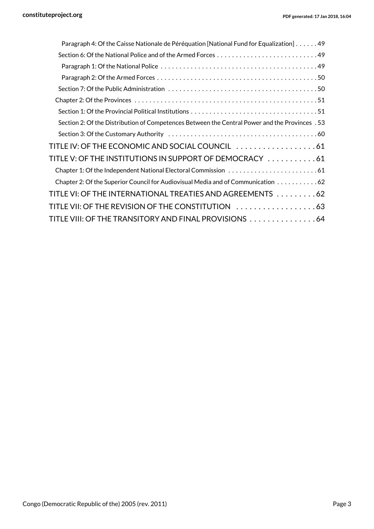| Paragraph 4: Of the Caisse Nationale de Péréquation [National Fund for Equalization] 49          |
|--------------------------------------------------------------------------------------------------|
|                                                                                                  |
|                                                                                                  |
|                                                                                                  |
|                                                                                                  |
|                                                                                                  |
|                                                                                                  |
| 53. Section 2: Of the Distribution of Competences Between the Central Power and the Provinces 53 |
|                                                                                                  |
| TITLE IV: OF THE ECONOMIC AND SOCIAL COUNCIL 61                                                  |
| TITLE V: OF THE INSTITUTIONS IN SUPPORT OF DEMOCRACY 61                                          |
|                                                                                                  |
| Chapter 2: Of the Superior Council for Audiovisual Media and of Communication 62                 |
| TITLE VI: OF THE INTERNATIONAL TREATIES AND AGREEMENTS 62                                        |
|                                                                                                  |
|                                                                                                  |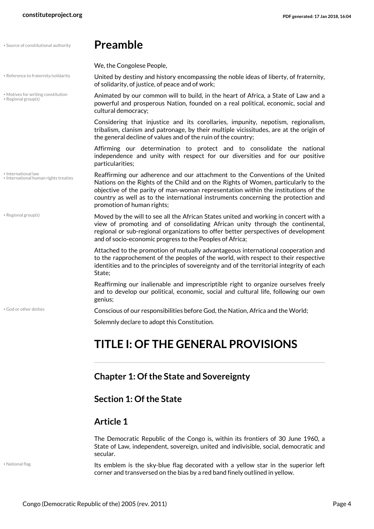<span id="page-3-11"></span><span id="page-3-9"></span><span id="page-3-7"></span><span id="page-3-6"></span><span id="page-3-5"></span><span id="page-3-0"></span>

| • Source of constitutional authority                         | <b>Preamble</b>                                                                                                                                                                                                                                                                                                                                                              |
|--------------------------------------------------------------|------------------------------------------------------------------------------------------------------------------------------------------------------------------------------------------------------------------------------------------------------------------------------------------------------------------------------------------------------------------------------|
|                                                              | We, the Congolese People,                                                                                                                                                                                                                                                                                                                                                    |
| • Reference to fraternity/solidarity                         | United by destiny and history encompassing the noble ideas of liberty, of fraternity,<br>of solidarity, of justice, of peace and of work;                                                                                                                                                                                                                                    |
| • Motives for writing constitution<br>• Regional group(s)    | Animated by our common will to build, in the heart of Africa, a State of Law and a<br>powerful and prosperous Nation, founded on a real political, economic, social and<br>cultural democracy;                                                                                                                                                                               |
|                                                              | Considering that injustice and its corollaries, impunity, nepotism, regionalism,<br>tribalism, clanism and patronage, by their multiple vicissitudes, are at the origin of<br>the general decline of values and of the ruin of the country;                                                                                                                                  |
|                                                              | Affirming our determination to protect and to consolidate the national<br>independence and unity with respect for our diversities and for our positive<br>particularities;                                                                                                                                                                                                   |
| · International law<br>· International human rights treaties | Reaffirming our adherence and our attachment to the Conventions of the United<br>Nations on the Rights of the Child and on the Rights of Women, particularly to the<br>objective of the parity of man-woman representation within the institutions of the<br>country as well as to the international instruments concerning the protection and<br>promotion of human rights; |
| • Regional group(s)                                          | Moved by the will to see all the African States united and working in concert with a<br>view of promoting and of consolidating African unity through the continental,<br>regional or sub-regional organizations to offer better perspectives of development<br>and of socio-economic progress to the Peoples of Africa;                                                      |
|                                                              | Attached to the promotion of mutually advantageous international cooperation and<br>to the rapprochement of the peoples of the world, with respect to their respective<br>identities and to the principles of sovereignty and of the territorial integrity of each<br>State;                                                                                                 |
|                                                              | Reaffirming our inalienable and imprescriptible right to organize ourselves freely<br>and to develop our political, economic, social and cultural life, following our own<br>genius;                                                                                                                                                                                         |
| · God or other deities                                       | Conscious of our responsibilities before God, the Nation, Africa and the World;                                                                                                                                                                                                                                                                                              |
|                                                              | Solemnly declare to adopt this Constitution.                                                                                                                                                                                                                                                                                                                                 |

# <span id="page-3-10"></span><span id="page-3-4"></span><span id="page-3-1"></span>**TITLE I: OF THE GENERAL PROVISIONS**

# <span id="page-3-2"></span>**Chapter 1: Of the State and Sovereignty**

# <span id="page-3-3"></span>**Section 1: Of the State**

# **Article 1**

The Democratic Republic of the Congo is, within its frontiers of 30 June 1960, a State of Law, independent, sovereign, united and indivisible, social, democratic and secular.

<span id="page-3-8"></span>Its emblem is the sky-blue flag decorated with a yellow star in the superior left corner and transversed on the bias by a red band finely outlined in yellow.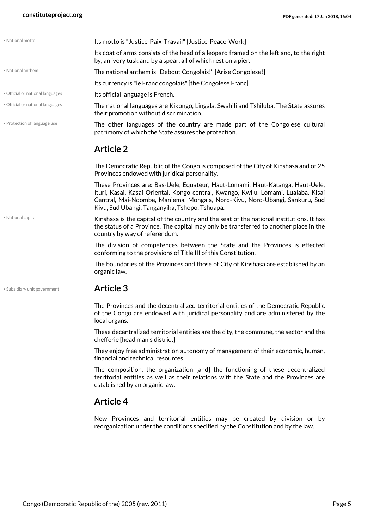<span id="page-4-4"></span><span id="page-4-3"></span><span id="page-4-2"></span><span id="page-4-0"></span>

| · National motto                 | Its motto is "Justice-Paix-Travail" [Justice-Peace-Work]                                                                                                                                                                                                                                              |
|----------------------------------|-------------------------------------------------------------------------------------------------------------------------------------------------------------------------------------------------------------------------------------------------------------------------------------------------------|
|                                  | Its coat of arms consists of the head of a leopard framed on the left and, to the right<br>by, an ivory tusk and by a spear, all of which rest on a pier.                                                                                                                                             |
| • National anthem                | The national anthem is "Debout Congolais!" [Arise Congolese!]                                                                                                                                                                                                                                         |
|                                  | Its currency is "le Franc congolais" [the Congolese Franc]                                                                                                                                                                                                                                            |
| • Official or national languages | Its official language is French.                                                                                                                                                                                                                                                                      |
| · Official or national languages | The national languages are Kikongo, Lingala, Swahili and Tshiluba. The State assures<br>their promotion without discrimination.                                                                                                                                                                       |
| • Protection of language use     | The other languages of the country are made part of the Congolese cultural<br>patrimony of which the State assures the protection.                                                                                                                                                                    |
|                                  | <b>Article 2</b>                                                                                                                                                                                                                                                                                      |
|                                  | The Democratic Republic of the Congo is composed of the City of Kinshasa and of 25<br>Provinces endowed with juridical personality.                                                                                                                                                                   |
|                                  | These Provinces are: Bas-Uele, Equateur, Haut-Lomami, Haut-Katanga, Haut-Uele,<br>Ituri, Kasai, Kasai Oriental, Kongo central, Kwango, Kwilu, Lomami, Lualaba, Kisai<br>Central, Mai-Ndombe, Maniema, Mongala, Nord-Kivu, Nord-Ubangi, Sankuru, Sud<br>Kivu, Sud Ubangi, Tanganyika, Tshopo, Tshuapa. |
| · National capital               | Kinshasa is the capital of the country and the seat of the national institutions. It has<br>the status of a Province. The capital may only be transferred to another place in the<br>country by way of referendum.                                                                                    |
|                                  | The division of competences between the State and the Provinces is effected<br>conforming to the provisions of Title III of this Constitution.                                                                                                                                                        |
|                                  | The boundaries of the Provinces and those of City of Kinshasa are established by an<br>organic law.                                                                                                                                                                                                   |
| • Subsidiary unit government     | <b>Article 3</b>                                                                                                                                                                                                                                                                                      |
|                                  | The Provinces and the decentralized territorial entities of the Democratic Republic<br>of the Congo are endowed with juridical personality and are administered by the<br>local organs.                                                                                                               |
|                                  | These decentralized territorial entities are the city, the commune, the sector and the<br>chefferie [head man's district]                                                                                                                                                                             |
|                                  | They enjoy free administration autonomy of management of their economic, human,<br>financial and technical resources.                                                                                                                                                                                 |

<span id="page-4-5"></span><span id="page-4-1"></span>The composition, the organization [and] the functioning of these decentralized territorial entities as well as their relations with the State and the Provinces are established by an organic law.

# **Article 4**

New Provinces and territorial entities may be created by division or by reorganization under the conditions specified by the Constitution and by the law.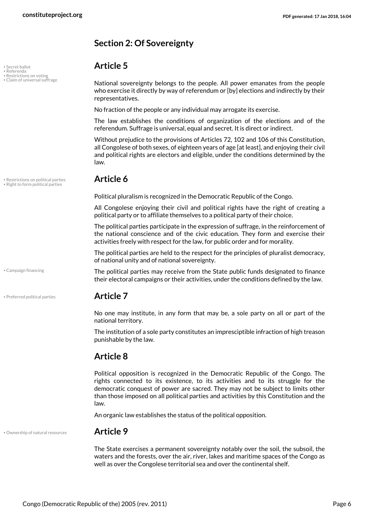# <span id="page-5-0"></span>**Section 2: Of Sovereignty**

# • Secret ballot **Article 5** • Referenda

<span id="page-5-9"></span><span id="page-5-7"></span><span id="page-5-5"></span>

• Restrictions on voting<br>• Claim of universal suffrage

<span id="page-5-1"></span>• Campaign financing

<span id="page-5-2"></span>National sovereignty belongs to the people. All power emanates from the people who exercise it directly by way of referendum or [by] elections and indirectly by their representatives.

No fraction of the people or any individual may arrogate its exercise.

The law establishes the conditions of organization of the elections and of the referendum. Suffrage is universal, equal and secret. It is direct or indirect.

Without prejudice to the provisions of Articles 72, 102 and 106 of this Constitution, all Congolese of both sexes, of eighteen years of age [at least], and enjoying their civil and political rights are electors and eligible, under the conditions determined by the law.

# • Restrictions on political parties **Article 6** • Right to form political parties

<span id="page-5-8"></span><span id="page-5-6"></span>Political pluralism is recognized in the Democratic Republic of the Congo.

All Congolese enjoying their civil and political rights have the right of creating a political party or to affiliate themselves to a political party of their choice.

The political parties participate in the expression of suffrage, in the reinforcement of the national conscience and of the civic education. They form and exercise their activities freely with respect for the law, for public order and for morality.

The political parties are held to the respect for the principles of pluralist democracy, of national unity and of national sovereignty.

The political parties may receive from the State public funds designated to finance their electoral campaigns or their activities, under the conditions defined by the law.

#### • Preferred political parties **Article 7**

<span id="page-5-4"></span>No one may institute, in any form that may be, a sole party on all or part of the national territory.

The institution of a sole party constitutes an impresciptible infraction of high treason punishable by the law.

# **Article 8**

Political opposition is recognized in the Democratic Republic of the Congo. The rights connected to its existence, to its activities and to its struggle for the democratic conquest of power are sacred. They may not be subject to limits other than those imposed on all political parties and activities by this Constitution and the law.

An organic law establishes the status of the political opposition.

• Ownership of natural resources **Article 9**

<span id="page-5-3"></span>The State exercises a permanent sovereignty notably over the soil, the subsoil, the waters and the forests, over the air, river, lakes and maritime spaces of the Congo as well as over the Congolese territorial sea and over the continental shelf.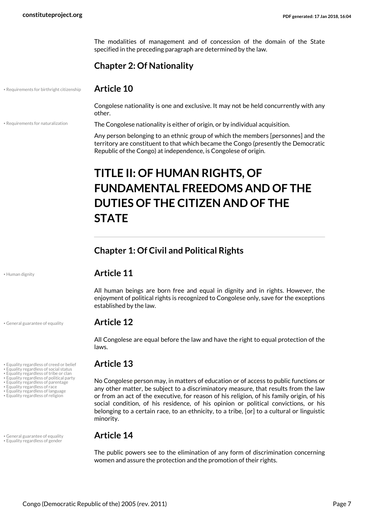The modalities of management and of concession of the domain of the State specified in the preceding paragraph are determined by the law.

# <span id="page-6-0"></span>**Chapter 2: Of Nationality**

#### • Requirements for birthright citizenship **Article 10**

. Requirements for naturalization **The Congolese nationality is either of origin, or by individual acquisition.** 

<span id="page-6-15"></span>Any person belonging to an ethnic group of which the members [personnes] and the territory are constituent to that which became the Congo (presently the Democratic Republic of the Congo) at independence, is Congolese of origin.

<span id="page-6-14"></span>Congolese nationality is one and exclusive. It may not be held concurrently with any

# **TITLE II: OF HUMAN RIGHTS, OF FUNDAMENTAL FREEDOMS AND OF THE DUTIES OF THE CITIZEN AND OF THE STATE**

# <span id="page-6-2"></span><span id="page-6-1"></span>**Chapter 1: Of Civil and Political Rights**

<span id="page-6-13"></span>

• Equality regardless of social status<br>• Equality regardless of tribe or clan • Equality regardless of political party • Equality regardless of parentage • Equality regardless of race • Equality regardless of language • Equality regardless of religion

#### • Human dignity **Article 11**

other.

All human beings are born free and equal in dignity and in rights. However, the enjoyment of political rights is recognized to Congolese only, save for the exceptions established by the law.

# • General guarantee of equality **Article 12**

All Congolese are equal before the law and have the right to equal protection of the laws.

# Equality regardless of creed or belief **Article 13**

<span id="page-6-11"></span><span id="page-6-10"></span><span id="page-6-9"></span><span id="page-6-8"></span><span id="page-6-7"></span><span id="page-6-6"></span><span id="page-6-5"></span><span id="page-6-3"></span>No Congolese person may, in matters of education or of access to public functions or any other matter, be subject to a discriminatory measure, that results from the law or from an act of the executive, for reason of his religion, of his family origin, of his social condition, of his residence, of his opinion or political convictions, or his belonging to a certain race, to an ethnicity, to a tribe, [or] to a cultural or linguistic minority.

# • General guarantee of equality **Article 14** • Equality regardless of gender

<span id="page-6-12"></span><span id="page-6-4"></span>The public powers see to the elimination of any form of discrimination concerning women and assure the protection and the promotion of their rights.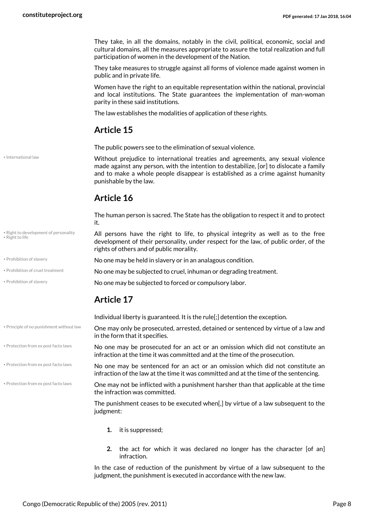They take, in all the domains, notably in the civil, political, economic, social and cultural domains, all the measures appropriate to assure the total realization and full participation of women in the development of the Nation.

They take measures to struggle against all forms of violence made against women in public and in private life.

Women have the right to an equitable representation within the national, provincial and local institutions. The State guarantees the implementation of man-woman parity in these said institutions.

The law establishes the modalities of application of these rights.

# **Article 15**

The public powers see to the elimination of sexual violence.

Without prejudice to international treaties and agreements, any sexual violence made against any person, with the intention to destabilize, [or] to dislocate a family and to make a whole people disappear is established as a crime against humanity punishable by the law.

# **Article 16**

<span id="page-7-5"></span>The human person is sacred. The State has the obligation to respect it and to protect it.

<span id="page-7-6"></span><span id="page-7-2"></span>All persons have the right to life, to physical integrity as well as to the free development of their personality, under respect for the law, of public order, of the rights of others and of public morality.

• Prohibition of slavery **Example 20** No one may be held in slavery or in an analagous condition.

• Prohibition of cruel treatment **No one may be subjected to cruel, inhuman or degrading treatment.** 

. Prohibition of slavery **No one may be subjected to forced or compulsory labor.** 

# **Article 17**

Individual liberty is guaranteed. It is the rule[;] detention the exception.

<span id="page-7-1"></span>One may only be prosecuted, arrested, detained or sentenced by virtue of a law and in the form that it specifies.

No one may be prosecuted for an act or an omission which did not constitute an infraction at the time it was committed and at the time of the prosecution.

<span id="page-7-4"></span>No one may be sentenced for an act or an omission which did not constitute an infraction of the law at the time it was committed and at the time of the sentencing.

One may not be inflicted with a punishment harsher than that applicable at the time the infraction was committed.

The punishment ceases to be executed when[,] by virtue of a law subsequent to the judgment:

- **1.** it is suppressed;
- **2.** the act for which it was declared no longer has the character [of an] infraction.

In the case of reduction of the punishment by virtue of a law subsequent to the judgment, the punishment is executed in accordance with the new law.

• Right to development of personality • Right to life

<span id="page-7-0"></span>• International law

<span id="page-7-3"></span>

• Principle of no punishment without law

• Protection from ex post facto laws

• Protection from ex post facto laws

• Protection from ex post facto laws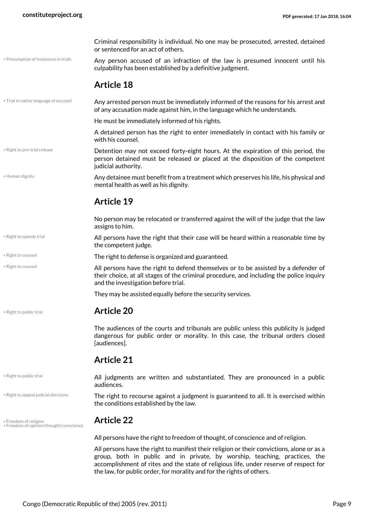• Presumption of innocence in trials

• Human dignity

• Right to speedy trial

<span id="page-8-5"></span>• Right to counsel

Criminal responsibility is individual. No one may be prosecuted, arrested, detained or sentenced for an act of others.

<span id="page-8-3"></span>Any person accused of an infraction of the law is presumed innocent until his culpability has been established by a definitive judgment.

#### **Article 18**

Any arrested person must be immediately informed of the reasons for his arrest and of any accusation made against him, in the language which he understands. • Trial in native language of accused

<span id="page-8-9"></span>He must be immediately informed of his rights.

A detained person has the right to enter immediately in contact with his family or with his counsel.

Detention may not exceed forty-eight hours. At the expiration of this period, the person detained must be released or placed at the disposition of the competent judicial authority. • Right to pre-trial release

> <span id="page-8-6"></span><span id="page-8-2"></span>Any detainee must benefit from a treatment which preserves his life, his physical and mental health as well as his dignity.

# **Article 19**

No person may be relocated or transferred against the will of the judge that the law assigns to him.

<span id="page-8-8"></span>All persons have the right that their case will be heard within a reasonable time by the competent judge.

• Right to counsel **The right to defense is organized and guaranteed.** 

All persons have the right to defend themselves or to be assisted by a defender of their choice, at all stages of the criminal procedure, and including the police inquiry and the investigation before trial.

They may be assisted equally before the security services.

#### • Right to public trial **Article 20**

The audiences of the courts and tribunals are public unless this publicity is judged dangerous for public order or morality. In this case, the tribunal orders closed [audiences].

#### **Article 21**

<span id="page-8-7"></span>• Right to public trial

• Right to appeal judicial decisions

All judgments are written and substantiated. They are pronounced in a public audiences.

<span id="page-8-4"></span>The right to recourse against a judgment is guaranteed to all. It is exercised within the conditions established by the law.

# <span id="page-8-1"></span>• Freedom of religion **Article 22** • Freedom of opinion/thought/conscience

<span id="page-8-0"></span>All persons have the right to freedom of thought, of conscience and of religion.

All persons have the right to manifest their religion or their convictions, alone or as a group, both in public and in private, by worship, teaching, practices, the accomplishment of rites and the state of religious life, under reserve of respect for the law, for public order, for morality and for the rights of others.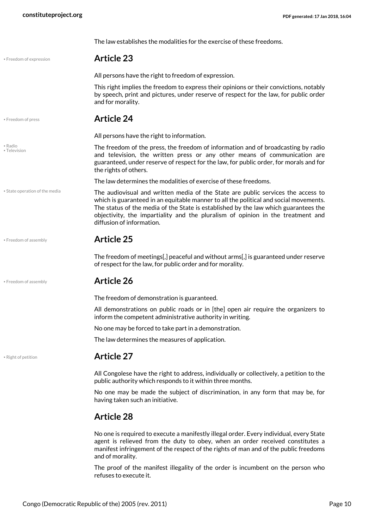<span id="page-9-6"></span><span id="page-9-5"></span><span id="page-9-3"></span><span id="page-9-2"></span><span id="page-9-1"></span>

|                                | The law establishes the modalities for the exercise of these freedoms.                                                                                                                                                                                                                                                                                                           |
|--------------------------------|----------------------------------------------------------------------------------------------------------------------------------------------------------------------------------------------------------------------------------------------------------------------------------------------------------------------------------------------------------------------------------|
| • Freedom of expression        | <b>Article 23</b>                                                                                                                                                                                                                                                                                                                                                                |
|                                | All persons have the right to freedom of expression.                                                                                                                                                                                                                                                                                                                             |
|                                | This right implies the freedom to express their opinions or their convictions, notably<br>by speech, print and pictures, under reserve of respect for the law, for public order<br>and for morality.                                                                                                                                                                             |
| • Freedom of press             | <b>Article 24</b>                                                                                                                                                                                                                                                                                                                                                                |
|                                | All persons have the right to information.                                                                                                                                                                                                                                                                                                                                       |
| • Radio<br>· Television        | The freedom of the press, the freedom of information and of broadcasting by radio<br>and television, the written press or any other means of communication are<br>guaranteed, under reserve of respect for the law, for public order, for morals and for<br>the rights of others.                                                                                                |
|                                | The law determines the modalities of exercise of these freedoms.                                                                                                                                                                                                                                                                                                                 |
| • State operation of the media | The audiovisual and written media of the State are public services the access to<br>which is guaranteed in an equitable manner to all the political and social movements.<br>The status of the media of the State is established by the law which guarantees the<br>objectivity, the impartiality and the pluralism of opinion in the treatment and<br>diffusion of information. |
| • Freedom of assembly          | <b>Article 25</b>                                                                                                                                                                                                                                                                                                                                                                |
|                                | The freedom of meetings[,] peaceful and without arms[,] is guaranteed under reserve<br>of respect for the law, for public order and for morality.                                                                                                                                                                                                                                |
| • Freedom of assembly          | <b>Article 26</b>                                                                                                                                                                                                                                                                                                                                                                |
|                                | The freedom of demonstration is guaranteed.                                                                                                                                                                                                                                                                                                                                      |
|                                | All demonstrations on public roads or in [the] open air require the organizers to<br>inform the competent administrative authority in writing.                                                                                                                                                                                                                                   |
|                                | No one may be forced to take part in a demonstration.                                                                                                                                                                                                                                                                                                                            |
|                                | The law determines the measures of application.                                                                                                                                                                                                                                                                                                                                  |
| • Right of petition            | <b>Article 27</b>                                                                                                                                                                                                                                                                                                                                                                |
|                                | All Congolese have the right to address, individually or collectively, a petition to the<br>public authority which responds to it within three months.                                                                                                                                                                                                                           |
|                                | No one may be made the subject of discrimination, in any form that may be, for<br>having taken such an initiative.                                                                                                                                                                                                                                                               |
|                                | <b>Article 28</b>                                                                                                                                                                                                                                                                                                                                                                |
|                                | No one is required to execute a manifestly illegal order. Every individual, every State<br>agent is relieved from the duty to obey, when an order received constitutes a<br>manifest infringement of the respect of the rights of man and of the public freedoms<br>and of morality.                                                                                             |

<span id="page-9-4"></span><span id="page-9-0"></span>The proof of the manifest illegality of the order is incumbent on the person who refuses to execute it.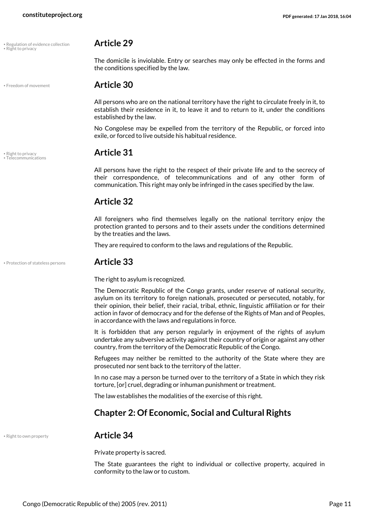• Regulation of evidence collection **Article 29** • Right to privacy

<span id="page-10-1"></span>• Freedom of movement **Article 30**

the conditions specified by the law.

All persons who are on the national territory have the right to circulate freely in it, to establish their residence in it, to leave it and to return to it, under the conditions established by the law.

<span id="page-10-3"></span>The domicile is inviolable. Entry or searches may only be effected in the forms and

No Congolese may be expelled from the territory of the Republic, or forced into exile, or forced to live outside his habitual residence.

# <span id="page-10-6"></span><span id="page-10-5"></span>• Right to privacy **Article 31** • Telecommunications

All persons have the right to the respect of their private life and to the secrecy of their correspondence, of telecommunications and of any other form of communication. This right may only be infringed in the cases specified by the law.

# **Article 32**

All foreigners who find themselves legally on the national territory enjoy the protection granted to persons and to their assets under the conditions determined by the treaties and the laws.

They are required to conform to the laws and regulations of the Republic.

#### • Protection of stateless persons **Article 33**

<span id="page-10-2"></span>The right to asylum is recognized.

The Democratic Republic of the Congo grants, under reserve of national security, asylum on its territory to foreign nationals, prosecuted or persecuted, notably, for their opinion, their belief, their racial, tribal, ethnic, linguistic affiliation or for their action in favor of democracy and for the defense of the Rights of Man and of Peoples, in accordance with the laws and regulations in force.

It is forbidden that any person regularly in enjoyment of the rights of asylum undertake any subversive activity against their country of origin or against any other country, from the territory of the Democratic Republic of the Congo.

Refugees may neither be remitted to the authority of the State where they are prosecuted nor sent back to the territory of the latter.

In no case may a person be turned over to the territory of a State in which they risk torture, [or] cruel, degrading or inhuman punishment or treatment.

The law establishes the modalities of the exercise of this right.

# <span id="page-10-0"></span>**Chapter 2: Of Economic, Social and Cultural Rights**

Private property is sacred.

The State guarantees the right to individual or collective property, acquired in conformity to the law or to custom.

<span id="page-10-4"></span>• Right to own property **Article 34**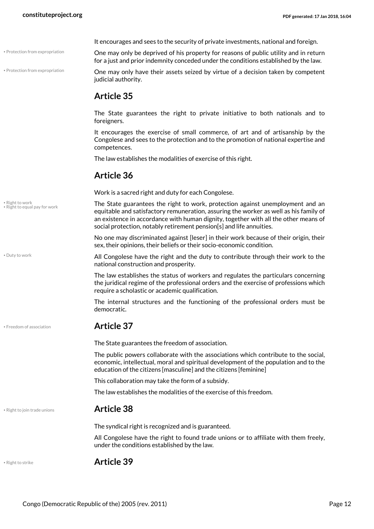• Protection from expropriation

• Protection from expropriation

<span id="page-11-6"></span>• Right to work

<span id="page-11-0"></span>• Duty to work

It encourages and sees to the security of private investments, national and foreign.

One may only be deprived of his property for reasons of public utility and in return for a just and prior indemnity conceded under the conditions established by the law.

<span id="page-11-2"></span>One may only have their assets seized by virtue of a decision taken by competent judicial authority.

# **Article 35**

The State guarantees the right to private initiative to both nationals and to foreigners.

It encourages the exercise of small commerce, of art and of artisanship by the Congolese and sees to the protection and to the promotion of national expertise and competences.

The law establishes the modalities of exercise of this right.

#### **Article 36**

<span id="page-11-3"></span>Work is a sacred right and duty for each Congolese.

The State guarantees the right to work, protection against unemployment and an equitable and satisfactory remuneration, assuring the worker as well as his family of an existence in accordance with human dignity, together with all the other means of social protection, notably retirement pension[s] and life annuities. • Right to equal pay for work

> No one may discriminated against [leser] in their work because of their origin, their sex, their opinions, their beliefs or their socio-economic condition.

> All Congolese have the right and the duty to contribute through their work to the national construction and prosperity.

> The law establishes the status of workers and regulates the particulars concerning the juridical regime of the professional orders and the exercise of professions which require a scholastic or academic qualification.

> The internal structures and the functioning of the professional orders must be democratic.

|  | <b>Article 37</b> |
|--|-------------------|

<span id="page-11-1"></span>The State guarantees the freedom of association.

The public powers collaborate with the associations which contribute to the social, economic, intellectual, moral and spiritual development of the population and to the education of the citizens [masculine] and the citizens [feminine]

This collaboration may take the form of a subsidy.

The law establishes the modalities of the exercise of this freedom.

#### • Right to join trade unions **Article 38**

<span id="page-11-4"></span>The syndical right is recognized and is guaranteed.

All Congolese have the right to found trade unions or to affiliate with them freely, under the conditions established by the law.

<span id="page-11-5"></span>

• Right to strike **Article 39**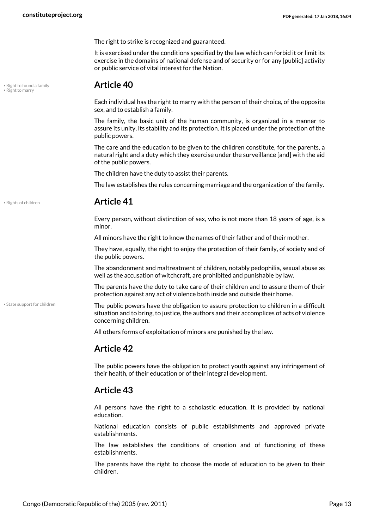The right to strike is recognized and guaranteed.

It is exercised under the conditions specified by the law which can forbid it or limit its exercise in the domains of national defense and of security or for any [public] activity or public service of vital interest for the Nation.

<span id="page-12-0"></span>

Each individual has the right to marry with the person of their choice, of the opposite sex, and to establish a family.

The family, the basic unit of the human community, is organized in a manner to assure its unity, its stability and its protection. It is placed under the protection of the public powers.

The care and the education to be given to the children constitute, for the parents, a natural right and a duty which they exercise under the surveillance [and] with the aid of the public powers.

The children have the duty to assist their parents.

The law establishes the rules concerning marriage and the organization of the family.

#### • Rights of children **Article 41**

Every person, without distinction of sex, who is not more than 18 years of age, is a minor.

All minors have the right to know the names of their father and of their mother.

They have, equally, the right to enjoy the protection of their family, of society and of the public powers.

The abandonment and maltreatment of children, notably pedophilia, sexual abuse as well as the accusation of witchcraft, are prohibited and punishable by law.

The parents have the duty to take care of their children and to assure them of their protection against any act of violence both inside and outside their home.

<span id="page-12-3"></span>The public powers have the obligation to assure protection to children in a difficult situation and to bring, to justice, the authors and their accomplices of acts of violence concerning children.

All others forms of exploitation of minors are punished by the law.

#### **Article 42**

The public powers have the obligation to protect youth against any infringement of their health, of their education or of their integral development.

#### **Article 43**

All persons have the right to a scholastic education. It is provided by national education.

National education consists of public establishments and approved private establishments.

The law establishes the conditions of creation and of functioning of these establishments.

The parents have the right to choose the mode of education to be given to their children.

<span id="page-12-1"></span>• Right to found a family **Article 40** • Right to marry

<span id="page-12-2"></span>

• State support for children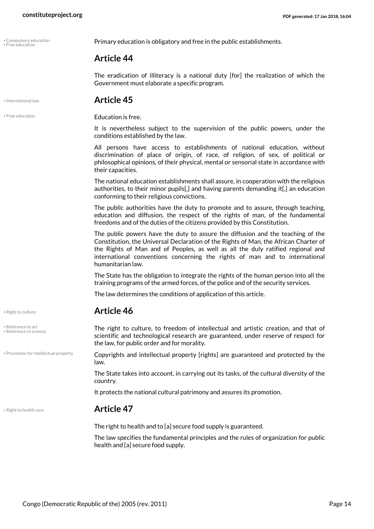| • Compulsory education |
|------------------------|
| • Free education       |

<span id="page-13-0"></span>Primary education is obligatory and free in the public establishments.

#### **Article 44**

The eradication of illiteracy is a national duty [for] the realization of which the Government must elaborate a specific program.

#### <span id="page-13-2"></span>• International law **Article 45**

<span id="page-13-1"></span>• Free education **is free.** 

It is nevertheless subject to the supervision of the public powers, under the conditions established by the law.

All persons have access to establishments of national education, without discrimination of place of origin, of race, of religion, of sex, of political or philosophical opinions, of their physical, mental or sensorial state in accordance with their capacities.

The national education establishments shall assure, in cooperation with the religious authorities, to their minor pupils[,] and having parents demanding it[,] an education conforming to their religious convictions.

The public authorities have the duty to promote and to assure, through teaching, education and diffusion, the respect of the rights of man, of the fundamental freedoms and of the duties of the citizens provided by this Constitution.

The public powers have the duty to assure the diffusion and the teaching of the Constitution, the Universal Declaration of the Rights of Man, the African Charter of the Rights of Man and of Peoples, as well as all the duly ratified regional and international conventions concerning the rights of man and to international humanitarian law.

The State has the obligation to integrate the rights of the human person into all the training programs of the armed forces, of the police and of the security services.

The law determines the conditions of application of this article.

|  | <b>Article 46</b> |
|--|-------------------|
|  |                   |

<span id="page-13-5"></span>The right to culture, to freedom of intellectual and artistic creation, and that of scientific and technological research are guaranteed, under reserve of respect for the law, for public order and for morality.

<span id="page-13-3"></span>Copyrights and intellectual property [rights] are guaranteed and protected by the law.

The State takes into account, in carrying out its tasks, of the cultural diversity of the country.

It protects the national cultural patrimony and assures its promotion.

<span id="page-13-7"></span>

<span id="page-13-6"></span> $\bullet$  Right to culture

<span id="page-13-4"></span>• Reference to art • Reference to science

• Provisions for intellectual property

#### • Right to health care **Article 47**

The right to health and to [a] secure food supply is guaranteed.

The law specifies the fundamental principles and the rules of organization for public health and [a] secure food supply.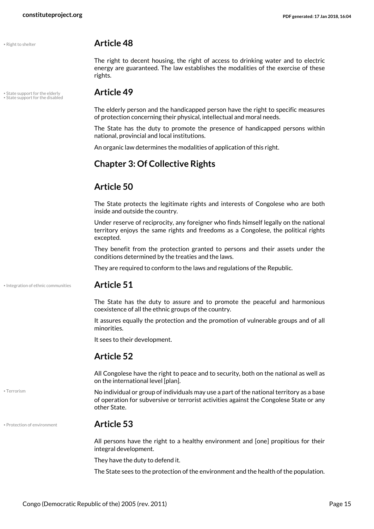<span id="page-14-3"></span>

#### • Right to shelter **Article 48**

The right to decent housing, the right of access to drinking water and to electric energy are guaranteed. The law establishes the modalities of the exercise of these rights.

# • State support for the elderly **Article 49** • State support for the disabled

<span id="page-14-5"></span><span id="page-14-4"></span>The elderly person and the handicapped person have the right to specific measures of protection concerning their physical, intellectual and moral needs.

The State has the duty to promote the presence of handicapped persons within national, provincial and local institutions.

An organic law determines the modalities of application of this right.

# <span id="page-14-0"></span>**Chapter 3: Of Collective Rights**

# **Article 50**

The State protects the legitimate rights and interests of Congolese who are both inside and outside the country.

Under reserve of reciprocity, any foreigner who finds himself legally on the national territory enjoys the same rights and freedoms as a Congolese, the political rights excepted.

They benefit from the protection granted to persons and their assets under the conditions determined by the treaties and the laws.

They are required to conform to the laws and regulations of the Republic.

• Integration of ethnic communities **Article 51**

<span id="page-14-1"></span>The State has the duty to assure and to promote the peaceful and harmonious coexistence of all the ethnic groups of the country.

It assures equally the protection and the promotion of vulnerable groups and of all minorities.

It sees to their development.

# **Article 52**

All Congolese have the right to peace and to security, both on the national as well as on the international level [plan].

No individual or group of individuals may use a part of the national territory as a base of operation for subversive or terrorist activities against the Congolese State or any other State.

#### • Protection of environment **Article 53**

<span id="page-14-6"></span>• Terrorism

<span id="page-14-2"></span>

All persons have the right to a healthy environment and [one] propitious for their integral development.

They have the duty to defend it.

The State sees to the protection of the environment and the health of the population.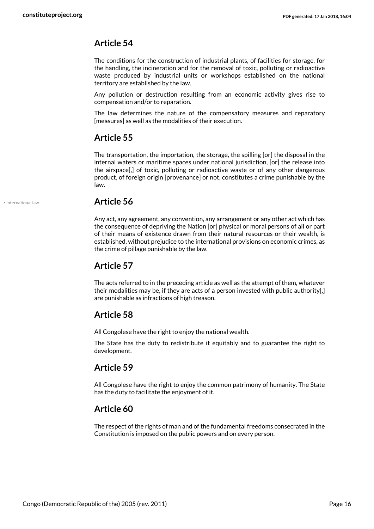# **Article 54**

The conditions for the construction of industrial plants, of facilities for storage, for the handling, the incineration and for the removal of toxic, polluting or radioactive waste produced by industrial units or workshops established on the national territory are established by the law.

Any pollution or destruction resulting from an economic activity gives rise to compensation and/or to reparation.

The law determines the nature of the compensatory measures and reparatory [measures] as well as the modalities of their execution.

#### **Article 55**

The transportation, the importation, the storage, the spilling [or] the disposal in the internal waters or maritime spaces under national jurisdiction, [or] the release into the airspace[,] of toxic, polluting or radioactive waste or of any other dangerous product, of foreign origin [provenance] or not, constitutes a crime punishable by the law.

#### • International law **Article 56**

Any act, any agreement, any convention, any arrangement or any other act which has the consequence of depriving the Nation [or] physical or moral persons of all or part of their means of existence drawn from their natural resources or their wealth, is established, without prejudice to the international provisions on economic crimes, as the crime of pillage punishable by the law.

#### **Article 57**

The acts referred to in the preceding article as well as the attempt of them, whatever their modalities may be, if they are acts of a person invested with public authority[,] are punishable as infractions of high treason.

# **Article 58**

All Congolese have the right to enjoy the national wealth.

The State has the duty to redistribute it equitably and to guarantee the right to development.

#### **Article 59**

All Congolese have the right to enjoy the common patrimony of humanity. The State has the duty to facilitate the enjoyment of it.

#### **Article 60**

The respect of the rights of man and of the fundamental freedoms consecrated in the Constitution is imposed on the public powers and on every person.

<span id="page-15-0"></span>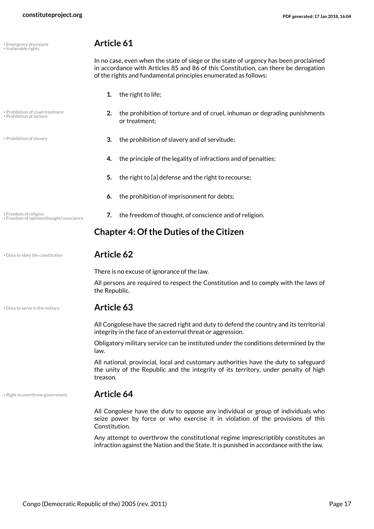<span id="page-16-6"></span><span id="page-16-3"></span>

| • Emergency provisions |  |
|------------------------|--|
| Inalienable rights     |  |

<span id="page-16-9"></span>• Prohibition of cruel treatment • Prohibition of torture

#### **Article 61**

In no case, even when the state of siege or the state of urgency has been proclaimed in accordance with Articles 85 and 86 of this Constitution, can there be derogation of the rights and fundamental principles enumerated as follows:

- **1.** the right to life;
- <span id="page-16-7"></span>**2.** the prohibition of torture and of cruel, inhuman or degrading punishments or treatment;
- <span id="page-16-8"></span>• Prohibition of slavery **3.** the prohibition of slavery and of servitude;
	- **4.** the principle of the legality of infractions and of penalties;
	- **5.** the right to [a] defense and the right to recourse;
	- **6.** the prohibition of imprisonment for debts;
- Freedom of opinion/thought/conscience
- <span id="page-16-5"></span>**•** Freedom of religion conscience and of religion.

#### <span id="page-16-4"></span><span id="page-16-0"></span>**Chapter 4: Of the Duties of the Citizen**

#### • Duty to obey the constitution **Article 62**

<span id="page-16-1"></span>There is no excuse of ignorance of the law.

All persons are required to respect the Constitution and to comply with the laws of the Republic.

#### • Duty to serve in the military **Article 63**

<span id="page-16-2"></span>All Congolese have the sacred right and duty to defend the country and its territorial integrity in the face of an external threat or aggression.

Obligatory military service can be instituted under the conditions determined by the law.

All national, provincial, local and customary authorities have the duty to safeguard the unity of the Republic and the integrity of its territory, under penalty of high treason.

#### • Right to overthrow government **Article 64**

<span id="page-16-10"></span>All Congolese have the duty to oppose any individual or group of individuals who seize power by force or who exercise it in violation of the provisions of this Constitution.

Any attempt to overthrow the constitutional regime imprescriptibly constitutes an infraction against the Nation and the State. It is punished in accordance with the law.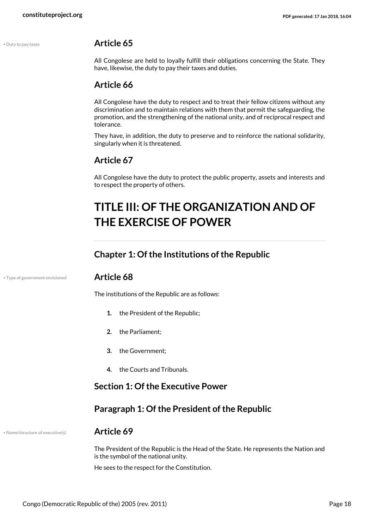<span id="page-17-4"></span>

### • Duty to pay taxes **Article 65**

All Congolese are held to loyally fulfill their obligations concerning the State. They have, likewise, the duty to pay their taxes and duties.

# **Article 66**

All Congolese have the duty to respect and to treat their fellow citizens without any discrimination and to maintain relations with them that permit the safeguarding, the promotion, and the strengthening of the national unity, and of reciprocal respect and tolerance.

They have, in addition, the duty to preserve and to reinforce the national solidarity, singularly when it is threatened.

# **Article 67**

All Congolese have the duty to protect the public property, assets and interests and to respect the property of others.

# <span id="page-17-0"></span>**TITLE III: OF THE ORGANIZATION AND OF THE EXERCISE OF POWER**

# **Chapter 1: Of the Institutions of the Republic**

• Type of government envisioned **Article 68**

<span id="page-17-6"></span>The institutions of the Republic are as follows:

- <span id="page-17-1"></span>**1.** the President of the Republic;
- **2.** the Parliament;
- **3.** the Government;
- <span id="page-17-3"></span><span id="page-17-2"></span>**4.** the Courts and Tribunals.

#### **Section 1: Of the Executive Power**

# **Paragraph 1: Of the President of the Republic**

#### • Name/structure of executive(s) **Article 69**

<span id="page-17-5"></span>The President of the Republic is the Head of the State. He represents the Nation and is the symbol of the national unity.

He sees to the respect for the Constitution.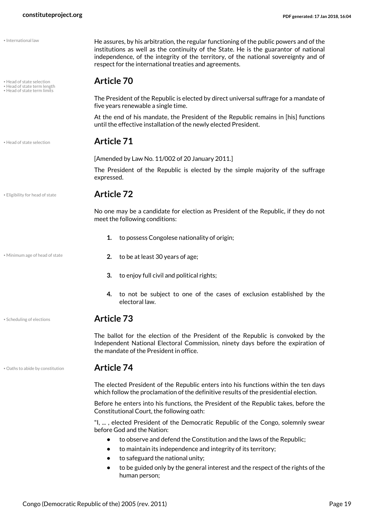<span id="page-18-4"></span><span id="page-18-3"></span><span id="page-18-2"></span><span id="page-18-1"></span><span id="page-18-0"></span>

| · International law                                                                     | He assures, by his arbitration, the regular functioning of the public powers and of the<br>institutions as well as the continuity of the State. He is the guarantor of national<br>independence, of the integrity of the territory, of the national sovereignty and of<br>respect for the international treaties and agreements. |
|-----------------------------------------------------------------------------------------|----------------------------------------------------------------------------------------------------------------------------------------------------------------------------------------------------------------------------------------------------------------------------------------------------------------------------------|
| • Head of state selection<br>• Head of state term length<br>• Head of state term limits | <b>Article 70</b>                                                                                                                                                                                                                                                                                                                |
|                                                                                         | The President of the Republic is elected by direct universal suffrage for a mandate of<br>five years renewable a single time.                                                                                                                                                                                                    |
|                                                                                         | At the end of his mandate, the President of the Republic remains in [his] functions<br>until the effective installation of the newly elected President.                                                                                                                                                                          |
| · Head of state selection                                                               | <b>Article 71</b>                                                                                                                                                                                                                                                                                                                |
|                                                                                         | [Amended by Law No. 11/002 of 20 January 2011.]                                                                                                                                                                                                                                                                                  |
|                                                                                         | The President of the Republic is elected by the simple majority of the suffrage<br>expressed.                                                                                                                                                                                                                                    |
| . Eligibility for head of state                                                         | <b>Article 72</b>                                                                                                                                                                                                                                                                                                                |
|                                                                                         | No one may be a candidate for election as President of the Republic, if they do not<br>meet the following conditions:                                                                                                                                                                                                            |
|                                                                                         | to possess Congolese nationality of origin;<br>1.                                                                                                                                                                                                                                                                                |
| . Minimum age of head of state                                                          | to be at least 30 years of age;<br>2.                                                                                                                                                                                                                                                                                            |
|                                                                                         | 3.<br>to enjoy full civil and political rights;                                                                                                                                                                                                                                                                                  |
|                                                                                         | to not be subject to one of the cases of exclusion established by the<br>4.<br>electoral law.                                                                                                                                                                                                                                    |
| • Scheduling of elections                                                               | <b>Article 73</b>                                                                                                                                                                                                                                                                                                                |
|                                                                                         | The ballot for the election of the President of the Republic is convoked by the<br>Independent National Electoral Commission, ninety days before the expiration of<br>the mandate of the President in office.                                                                                                                    |
| • Oaths to abide by constitution                                                        | <b>Article 74</b>                                                                                                                                                                                                                                                                                                                |
|                                                                                         | The elected President of the Republic enters into his functions within the ten days<br>which follow the proclamation of the definitive results of the presidential election.                                                                                                                                                     |
|                                                                                         | Before he enters into his functions, the President of the Republic takes, before the<br>Constitutional Court, the following oath:                                                                                                                                                                                                |
|                                                                                         | "I, , elected President of the Democratic Republic of the Congo, solemnly swear<br>before God and the Nation:                                                                                                                                                                                                                    |
|                                                                                         | to observe and defend the Constitution and the laws of the Republic;                                                                                                                                                                                                                                                             |

- <span id="page-18-7"></span><span id="page-18-6"></span><span id="page-18-5"></span>*•* to and the laws of the Republic; **•** to maintain its independence and integrity of its territory;
- **•** to safeguard the national unity;
- **•** to be guided only by the general interest and the respect of the rights of the human person;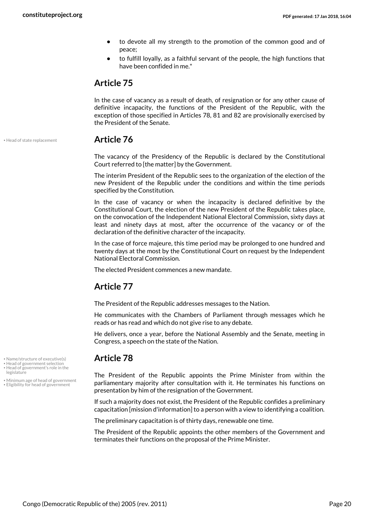- **•** to devote all my strength to the promotion of the common good and of peace;
- **•** to fulfill loyally, as a faithful servant of the people, the high functions that have been confided in me."

#### **Article 75**

In the case of vacancy as a result of death, of resignation or for any other cause of definitive incapacity, the functions of the President of the Republic, with the exception of those specified in Articles 78, 81 and 82 are provisionally exercised by the President of the Senate.

• Head of state replacement **Article 76** 

<span id="page-19-3"></span>The vacancy of the Presidency of the Republic is declared by the Constitutional Court referred to [the matter] by the Government.

The interim President of the Republic sees to the organization of the election of the new President of the Republic under the conditions and within the time periods specified by the Constitution.

In the case of vacancy or when the incapacity is declared definitive by the Constitutional Court, the election of the new President of the Republic takes place, on the convocation of the Independent National Electoral Commission, sixty days at least and ninety days at most, after the occurrence of the vacancy or of the declaration of the definitive character of the incapacity.

In the case of force majeure, this time period may be prolonged to one hundred and twenty days at the most by the Constitutional Court on request by the Independent National Electoral Commission.

The elected President commences a new mandate.

# **Article 77**

The President of the Republic addresses messages to the Nation.

He communicates with the Chambers of Parliament through messages which he reads or has read and which do not give rise to any debate.

He delivers, once a year, before the National Assembly and the Senate, meeting in Congress, a speech on the state of the Nation.

<span id="page-19-5"></span><span id="page-19-4"></span><span id="page-19-1"></span><span id="page-19-0"></span>The President of the Republic appoints the Prime Minister from within the parliamentary majority after consultation with it. He terminates his functions on presentation by him of the resignation of the Government.

If such a majority does not exist, the President of the Republic confides a preliminary capacitation [mission d'information] to a person with a view to identifying a coalition.

The preliminary capacitation is of thirty days, renewable one time.

The President of the Republic appoints the other members of the Government and terminates their functions on the proposal of the Prime Minister.

- Name/structure of executive(s) **Article 78** Head of government selection
- Head of government's role in the<br>legislature
- <span id="page-19-2"></span>
- Minimum age of head of government Eligibility for head of government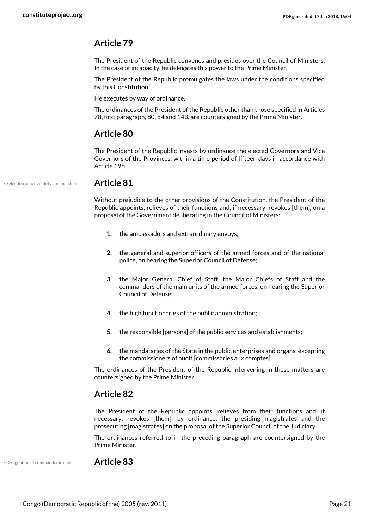#### **Article 79**

The President of the Republic convenes and presides over the Council of Ministers. In the case of incapacity, he delegates this power to the Prime Minister.

The President of the Republic promulgates the laws under the conditions specified by this Constitution.

He executes by way of ordinance.

The ordinances of the President of the Republic other than those specified in Articles 78, first paragraph, 80, 84 and 143, are countersigned by the Prime Minister.

#### **Article 80**

The President of the Republic invests by ordinance the elected Governors and Vice Governors of the Provinces, within a time period of fifteen days in accordance with Article 198.

• Selection of active-duty commanders **Article 81**

<span id="page-20-1"></span>Without prejudice to the other provisions of the Constitution, the President of the Republic appoints, relieves of their functions and, if necessary, revokes [them], on a proposal of the Government deliberating in the Council of Ministers:

- **1.** the ambassadors and extraordinary envoys;
- **2.** the general and superior officers of the armed forces and of the national police, on hearing the Superior Council of Defense;
- **3.** the Major General Chief of Staff, the Major Chiefs of Staff and the commanders of the main units of the armed forces, on hearing the Superior Council of Defense;
- **4.** the high functionaries of the public administration;
- **5.** the responsible [persons] of the public services and establishments;
- **6.** the mandataries of the State in the public enterprises and organs, excepting the commissioners of audit [commissaries aux comptes].

The ordinances of the President of the Republic intervening in these matters are countersigned by the Prime Minister.

#### **Article 82**

The President of the Republic appoints, relieves from their functions and, if necessary, revokes [them], by ordinance, the presiding magistrates and the prosecuting [magistrates] on the proposal of the Superior Council of the Judiciary.

The ordinances referred to in the preceding paragraph are countersigned by the Prime Minister.

• Designation of commander in chief **Article 83**

<span id="page-20-0"></span>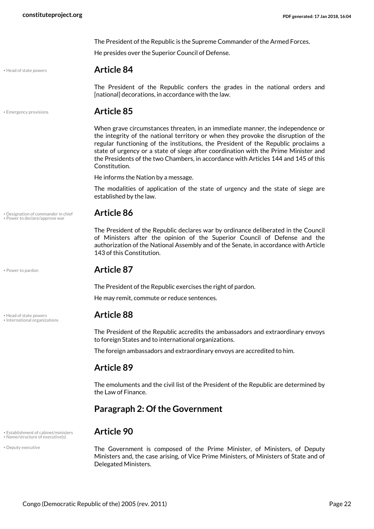The President of the Republic is the Supreme Commander of the Armed Forces.

He presides over the Superior Council of Defense.

#### • Head of state powers **Article 84**

The President of the Republic confers the grades in the national orders and [national] decorations, in accordance with the law.

#### <span id="page-21-3"></span>• Emergency provisions **Article 85**

When grave circumstances threaten, in an immediate manner, the independence or the integrity of the national territory or when they provoke the disruption of the regular functioning of the institutions, the President of the Republic proclaims a state of urgency or a state of siege after coordination with the Prime Minister and the Presidents of the two Chambers, in accordance with Articles 144 and 145 of this Constitution.

He informs the Nation by a message.

The modalities of application of the state of urgency and the state of siege are established by the law.

# • Designation of commander in chief **Article 86** • Power to declare/approve war

<span id="page-21-8"></span><span id="page-21-2"></span>The President of the Republic declares war by ordinance deliberated in the Council of Ministers after the opinion of the Superior Council of Defense and the authorization of the National Assembly and of the Senate, in accordance with Article 143 of this Constitution.

#### <span id="page-21-9"></span>• Power to pardon **Article 87**

The President of the Republic exercises the right of pardon.

He may remit, commute or reduce sentences.

# <span id="page-21-5"></span>• Head of state powers **Article 88** • International organizations

<span id="page-21-6"></span>The President of the Republic accredits the ambassadors and extraordinary envoys to foreign States and to international organizations.

The foreign ambassadors and extraordinary envoys are accredited to him.

# **Article 89**

The emoluments and the civil list of the President of the Republic are determined by the Law of Finance.

# <span id="page-21-0"></span>**Paragraph 2: Of the Government**

• Establishment of cabinet/ministers **Article 90** • Name/structure of executive(s)

<span id="page-21-1"></span>• Deputy executive

<span id="page-21-7"></span><span id="page-21-4"></span>The Government is composed of the Prime Minister, of Ministers, of Deputy Ministers and, the case arising, of Vice Prime Ministers, of Ministers of State and of Delegated Ministers.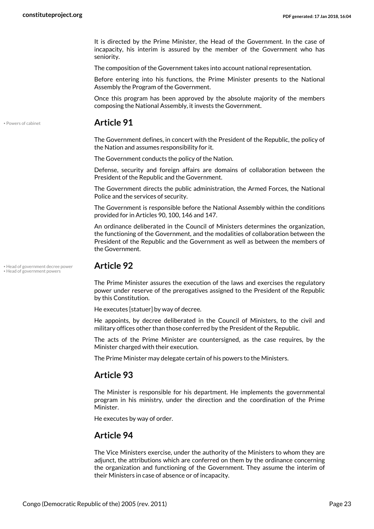It is directed by the Prime Minister, the Head of the Government. In the case of incapacity, his interim is assured by the member of the Government who has seniority.

The composition of the Government takes into account national representation.

Before entering into his functions, the Prime Minister presents to the National Assembly the Program of the Government.

Once this program has been approved by the absolute majority of the members composing the National Assembly, it invests the Government.

#### <span id="page-22-2"></span>• Powers of cabinet **Article 91**

The Government defines, in concert with the President of the Republic, the policy of the Nation and assumes responsibility for it.

The Government conducts the policy of the Nation.

Defense, security and foreign affairs are domains of collaboration between the President of the Republic and the Government.

The Government directs the public administration, the Armed Forces, the National Police and the services of security.

The Government is responsible before the National Assembly within the conditions provided for in Articles 90, 100, 146 and 147.

An ordinance deliberated in the Council of Ministers determines the organization, the functioning of the Government, and the modalities of collaboration between the President of the Republic and the Government as well as between the members of the Government.

• Head of government decree power **Article 92** • Head of government powers

<span id="page-22-1"></span><span id="page-22-0"></span>The Prime Minister assures the execution of the laws and exercises the regulatory power under reserve of the prerogatives assigned to the President of the Republic by this Constitution.

He executes [statuer] by way of decree.

He appoints, by decree deliberated in the Council of Ministers, to the civil and military offices other than those conferred by the President of the Republic.

The acts of the Prime Minister are countersigned, as the case requires, by the Minister charged with their execution.

The Prime Minister may delegate certain of his powers to the Ministers.

#### **Article 93**

The Minister is responsible for his department. He implements the governmental program in his ministry, under the direction and the coordination of the Prime Minister.

He executes by way of order.

#### **Article 94**

The Vice Ministers exercise, under the authority of the Ministers to whom they are adjunct, the attributions which are conferred on them by the ordinance concerning the organization and functioning of the Government. They assume the interim of their Ministers in case of absence or of incapacity.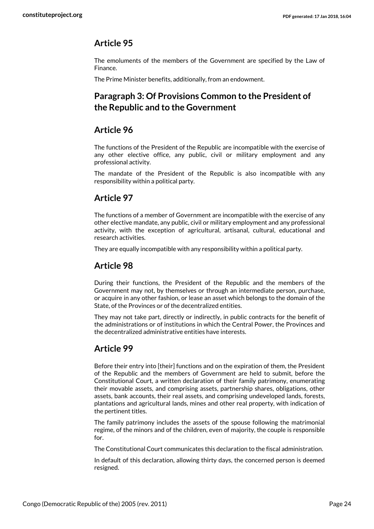#### **Article 95**

The emoluments of the members of the Government are specified by the Law of Finance.

The Prime Minister benefits, additionally, from an endowment.

# <span id="page-23-0"></span>**Paragraph 3: Of Provisions Common to the President of the Republic and to the Government**

#### **Article 96**

The functions of the President of the Republic are incompatible with the exercise of any other elective office, any public, civil or military employment and any professional activity.

The mandate of the President of the Republic is also incompatible with any responsibility within a political party.

#### **Article 97**

The functions of a member of Government are incompatible with the exercise of any other elective mandate, any public, civil or military employment and any professional activity, with the exception of agricultural, artisanal, cultural, educational and research activities.

They are equally incompatible with any responsibility within a political party.

#### **Article 98**

During their functions, the President of the Republic and the members of the Government may not, by themselves or through an intermediate person, purchase, or acquire in any other fashion, or lease an asset which belongs to the domain of the State, of the Provinces or of the decentralized entities.

They may not take part, directly or indirectly, in public contracts for the benefit of the administrations or of institutions in which the Central Power, the Provinces and the decentralized administrative entities have interests.

#### **Article 99**

Before their entry into [their] functions and on the expiration of them, the President of the Republic and the members of Government are held to submit, before the Constitutional Court, a written declaration of their family patrimony, enumerating their movable assets, and comprising assets, partnership shares, obligations, other assets, bank accounts, their real assets, and comprising undeveloped lands, forests, plantations and agricultural lands, mines and other real property, with indication of the pertinent titles.

The family patrimony includes the assets of the spouse following the matrimonial regime, of the minors and of the children, even of majority, the couple is responsible for.

The Constitutional Court communicates this declaration to the fiscal administration.

In default of this declaration, allowing thirty days, the concerned person is deemed resigned.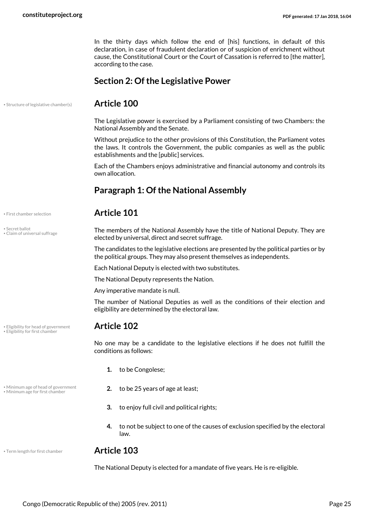In the thirty days which follow the end of [his] functions, in default of this declaration, in case of fraudulent declaration or of suspicion of enrichment without cause, the Constitutional Court or the Court of Cassation is referred to [the matter], according to the case.

# <span id="page-24-0"></span>**Section 2: Of the Legislative Power**

#### • Structure of legislative chamber(s) **Article 100**

<span id="page-24-9"></span>The Legislative power is exercised by a Parliament consisting of two Chambers: the National Assembly and the Senate.

Without prejudice to the other provisions of this Constitution, the Parliament votes the laws. It controls the Government, the public companies as well as the public establishments and the [public] services.

Each of the Chambers enjoys administrative and financial autonomy and controls its own allocation.

# <span id="page-24-1"></span>**Paragraph 1: Of the National Assembly**

| • First chamber selection | <b>Article 101</b> |
|---------------------------|--------------------|
|---------------------------|--------------------|

<span id="page-24-8"></span>Secret ballot • Claim of universal suffrage

• Eligibility for head of government **Article 102** • Eligibility for first chamber

• Minimum age for first chamber

<span id="page-24-5"></span><span id="page-24-2"></span>

The members of the National Assembly have the title of National Deputy. They are elected by universal, direct and secret suffrage.

The candidates to the legislative elections are presented by the political parties or by the political groups. They may also present themselves as independents.

Each National Deputy is elected with two substitutes.

The National Deputy represents the Nation.

Any imperative mandate is null.

The number of National Deputies as well as the conditions of their election and eligibility are determined by the electoral law.

<span id="page-24-4"></span><span id="page-24-3"></span>No one may be a candidate to the legislative elections if he does not fulfill the conditions as follows:

- <span id="page-24-7"></span><span id="page-24-6"></span>**1.** to be Congolese;
- Minimum age of head of government<br>Minimum age of head of government<br> **2.** to be 25 years of age at least;
	- **3.** to enjoy full civil and political rights;
	- **4.** to not be subject to one of the causes of exclusion specified by the electoral law.

#### • Term length for first chamber **Article 103**

<span id="page-24-10"></span>The National Deputy is elected for a mandate of five years. He is re-eligible.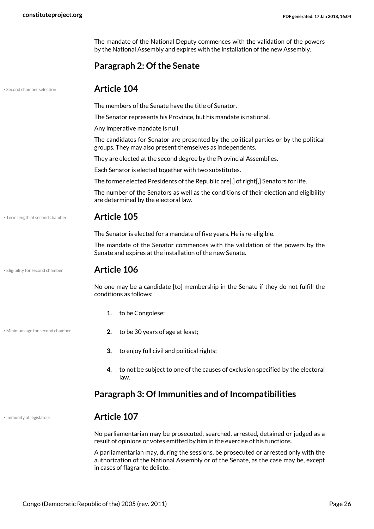<span id="page-25-6"></span><span id="page-25-5"></span><span id="page-25-0"></span>

|                                  | The mandate of the National Deputy commences with the validation of the powers<br>by the National Assembly and expires with the installation of the new Assembly.          |
|----------------------------------|----------------------------------------------------------------------------------------------------------------------------------------------------------------------------|
|                                  | Paragraph 2: Of the Senate                                                                                                                                                 |
| • Second chamber selection       | <b>Article 104</b>                                                                                                                                                         |
|                                  | The members of the Senate have the title of Senator.                                                                                                                       |
|                                  | The Senator represents his Province, but his mandate is national.                                                                                                          |
|                                  | Any imperative mandate is null.                                                                                                                                            |
|                                  | The candidates for Senator are presented by the political parties or by the political<br>groups. They may also present themselves as independents.                         |
|                                  | They are elected at the second degree by the Provincial Assemblies.                                                                                                        |
|                                  | Each Senator is elected together with two substitutes.                                                                                                                     |
|                                  | The former elected Presidents of the Republic are[,] of right[,] Senators for life.                                                                                        |
|                                  | The number of the Senators as well as the conditions of their election and eligibility<br>are determined by the electoral law.                                             |
| . Term length of second chamber  | <b>Article 105</b>                                                                                                                                                         |
|                                  | The Senator is elected for a mandate of five years. He is re-eligible.                                                                                                     |
|                                  | The mandate of the Senator commences with the validation of the powers by the<br>Senate and expires at the installation of the new Senate.                                 |
| · Eligibility for second chamber | <b>Article 106</b>                                                                                                                                                         |
|                                  | No one may be a candidate [to] membership in the Senate if they do not fulfill the<br>conditions as follows:                                                               |
|                                  | 1. to be Congolese;                                                                                                                                                        |
| • Minimum age for second chamber | to be 30 years of age at least;<br>2.                                                                                                                                      |
|                                  | 3.<br>to enjoy full civil and political rights;                                                                                                                            |
|                                  | to not be subject to one of the causes of exclusion specified by the electoral<br>4.<br>law.                                                                               |
|                                  | Paragraph 3: Of Immunities and of Incompatibilities                                                                                                                        |
| • Immunity of legislators        | <b>Article 107</b>                                                                                                                                                         |
|                                  | No parliamentarian may be prosecuted, searched, arrested, detained or judged as a<br>result of opinions or votes emitted by him in the exercise of his functions.          |
|                                  | A parliamentarian may, during the sessions, be prosecuted or arrested only with the<br>authorization of the National Assembly or of the Senate, as the case may be, except |

Congo (Democratic Republic of the) 2005 (rev. 2011) Congo (Page 26

<span id="page-25-4"></span><span id="page-25-3"></span><span id="page-25-2"></span><span id="page-25-1"></span>in cases of flagrante delicto.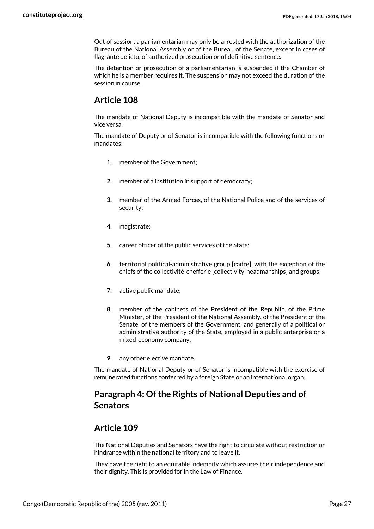Out of session, a parliamentarian may only be arrested with the authorization of the Bureau of the National Assembly or of the Bureau of the Senate, except in cases of flagrante delicto, of authorized prosecution or of definitive sentence.

The detention or prosecution of a parliamentarian is suspended if the Chamber of which he is a member requires it. The suspension may not exceed the duration of the session in course.

# **Article 108**

The mandate of National Deputy is incompatible with the mandate of Senator and vice versa.

The mandate of Deputy or of Senator is incompatible with the following functions or mandates:

- **1.** member of the Government;
- **2.** member of a institution in support of democracy;
- **3.** member of the Armed Forces, of the National Police and of the services of security;
- **4.** magistrate;
- **5.** career officer of the public services of the State;
- **6.** territorial political-administrative group [cadre], with the exception of the chiefs of the collectivité-chefferie [collectivity-headmanships] and groups;
- **7.** active public mandate;
- **8.** member of the cabinets of the President of the Republic, of the Prime Minister, of the President of the National Assembly, of the President of the Senate, of the members of the Government, and generally of a political or administrative authority of the State, employed in a public enterprise or a mixed-economy company;
- **9.** any other elective mandate.

The mandate of National Deputy or of Senator is incompatible with the exercise of remunerated functions conferred by a foreign State or an international organ.

# <span id="page-26-0"></span>**Paragraph 4: Of the Rights of National Deputies and of Senators**

# **Article 109**

The National Deputies and Senators have the right to circulate without restriction or hindrance within the national territory and to leave it.

They have the right to an equitable indemnity which assures their independence and their dignity. This is provided for in the Law of Finance.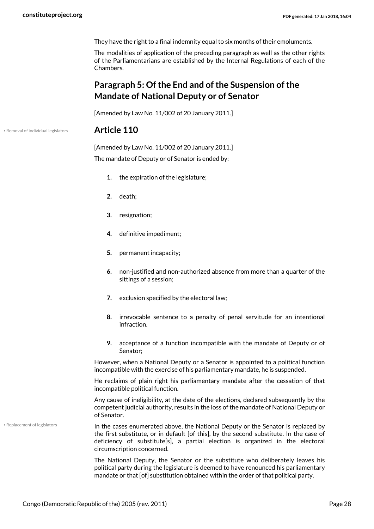They have the right to a final indemnity equal to six months of their emoluments.

The modalities of application of the preceding paragraph as well as the other rights of the Parliamentarians are established by the Internal Regulations of each of the Chambers.

# <span id="page-27-0"></span>**Paragraph 5: Of the End and of the Suspension of the Mandate of National Deputy or of Senator**

[Amended by Law No. 11/002 of 20 January 2011.]

#### • Removal of individual legislators **Article 110**

<span id="page-27-1"></span>[Amended by Law No. 11/002 of 20 January 2011.] The mandate of Deputy or of Senator is ended by:

- **1.** the expiration of the legislature;
- **2.** death;
- **3.** resignation;
- **4.** definitive impediment;
- **5.** permanent incapacity;
- **6.** non-justified and non-authorized absence from more than a quarter of the sittings of a session;
- **7.** exclusion specified by the electoral law;
- **8.** irrevocable sentence to a penalty of penal servitude for an intentional infraction.
- **9.** acceptance of a function incompatible with the mandate of Deputy or of Senator;

However, when a National Deputy or a Senator is appointed to a political function incompatible with the exercise of his parliamentary mandate, he is suspended.

He reclaims of plain right his parliamentary mandate after the cessation of that incompatible political function.

Any cause of ineligibility, at the date of the elections, declared subsequently by the competent judicial authority, results in the loss of the mandate of National Deputy or of Senator.

<span id="page-27-2"></span>In the cases enumerated above, the National Deputy or the Senator is replaced by the first substitute, or in default [of this], by the second substitute. In the case of deficiency of substitute[s], a partial election is organized in the electoral circumscription concerned.

The National Deputy, the Senator or the substitute who deliberately leaves his political party during the legislature is deemed to have renounced his parliamentary mandate or that [of] substitution obtained within the order of that political party.

• Replacement of legislators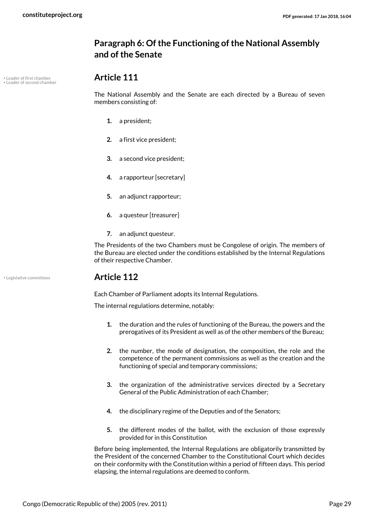# <span id="page-28-0"></span>**Paragraph 6: Of the Functioning of the National Assembly and of the Senate**

# • Leader of first chamber **Article 111** • Leader of second chamber

<span id="page-28-2"></span><span id="page-28-1"></span>The National Assembly and the Senate are each directed by a Bureau of seven members consisting of:

- **1.** a president;
- **2.** a first vice president;
- **3.** a second vice president;
- **4.** a rapporteur [secretary]
- **5.** an adjunct rapporteur;
- **6.** a questeur [treasurer]
- **7.** an adjunct questeur.

The Presidents of the two Chambers must be Congolese of origin. The members of the Bureau are elected under the conditions established by the Internal Regulations of their respective Chamber.

<span id="page-28-3"></span>

#### • Legislative committees **Article 112**

Each Chamber of Parliament adopts its Internal Regulations.

The internal regulations determine, notably:

- **1.** the duration and the rules of functioning of the Bureau, the powers and the prerogatives of its President as well as of the other members of the Bureau;
- **2.** the number, the mode of designation, the composition, the role and the competence of the permanent commissions as well as the creation and the functioning of special and temporary commissions;
- **3.** the organization of the administrative services directed by a Secretary General of the Public Administration of each Chamber;
- **4.** the disciplinary regime of the Deputies and of the Senators;
- **5.** the different modes of the ballot, with the exclusion of those expressly provided for in this Constitution

Before being implemented, the Internal Regulations are obligatorily transmitted by the President of the concerned Chamber to the Constitutional Court which decides on their conformity with the Constitution within a period of fifteen days. This period elapsing, the internal regulations are deemed to conform.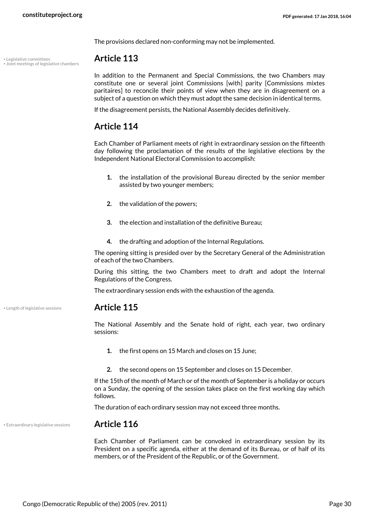The provisions declared non-conforming may not be implemented.

# • Legislative committees **Article 113** • Joint meetings of legislative chambers

<span id="page-29-2"></span><span id="page-29-1"></span>In addition to the Permanent and Special Commissions, the two Chambers may constitute one or several joint Commissions [with] parity [Commissions mixtes paritaires] to reconcile their points of view when they are in disagreement on a subject of a question on which they must adopt the same decision in identical terms.

If the disagreement persists, the National Assembly decides definitively.

# **Article 114**

Each Chamber of Parliament meets of right in extraordinary session on the fifteenth day following the proclamation of the results of the legislative elections by the Independent National Electoral Commission to accomplish:

- **1.** the installation of the provisional Bureau directed by the senior member assisted by two younger members;
- **2.** the validation of the powers;
- **3.** the election and installation of the definitive Bureau;
- **4.** the drafting and adoption of the Internal Regulations.

The opening sitting is presided over by the Secretary General of the Administration of each of the two Chambers.

During this sitting, the two Chambers meet to draft and adopt the Internal Regulations of the Congress.

The extraordinary session ends with the exhaustion of the agenda.

#### • Length of legislative sessions **Article 115**

<span id="page-29-3"></span>The National Assembly and the Senate hold of right, each year, two ordinary sessions:

- **1.** the first opens on 15 March and closes on 15 June;
- **2.** the second opens on 15 September and closes on 15 December.

If the 15th of the month of March or of the month of September is a holiday or occurs on a Sunday, the opening of the session takes place on the first working day which follows.

The duration of each ordinary session may not exceed three months.

#### • Extraordinary legislative sessions **Article 116**

<span id="page-29-0"></span>

Each Chamber of Parliament can be convoked in extraordinary session by its President on a specific agenda, either at the demand of its Bureau, or of half of its members, or of the President of the Republic, or of the Government.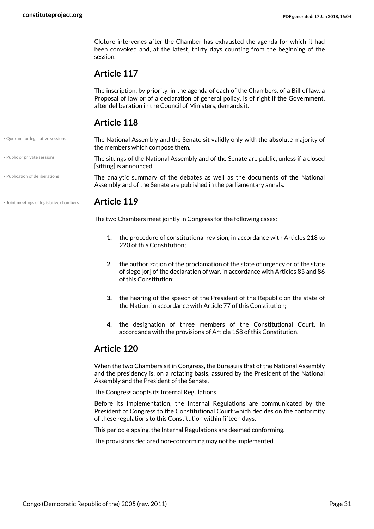Cloture intervenes after the Chamber has exhausted the agenda for which it had been convoked and, at the latest, thirty days counting from the beginning of the session.

# **Article 117**

The inscription, by priority, in the agenda of each of the Chambers, of a Bill of law, a Proposal of law or of a declaration of general policy, is of right if the Government, after deliberation in the Council of Ministers, demands it.

#### **Article 118**

The National Assembly and the Senate sit validly only with the absolute majority of the members which compose them. • Quorum for legislative sessions

> <span id="page-30-3"></span><span id="page-30-1"></span>The sittings of the National Assembly and of the Senate are public, unless if a closed [sitting] is announced.

<span id="page-30-2"></span>The analytic summary of the debates as well as the documents of the National Assembly and of the Senate are published in the parliamentary annals.

• Joint meetings of legislative chambers **Article 119**

• Public or private sessions

• Publication of deliberations

<span id="page-30-0"></span>The two Chambers meet jointly in Congress for the following cases:

- **1.** the procedure of constitutional revision, in accordance with Articles 218 to 220 of this Constitution;
- **2.** the authorization of the proclamation of the state of urgency or of the state of siege [or] of the declaration of war, in accordance with Articles 85 and 86 of this Constitution;
- **3.** the hearing of the speech of the President of the Republic on the state of the Nation, in accordance with Article 77 of this Constitution;
- **4.** the designation of three members of the Constitutional Court, in accordance with the provisions of Article 158 of this Constitution.

# **Article 120**

When the two Chambers sit in Congress, the Bureau is that of the National Assembly and the presidency is, on a rotating basis, assured by the President of the National Assembly and the President of the Senate.

The Congress adopts its Internal Regulations.

Before its implementation, the Internal Regulations are communicated by the President of Congress to the Constitutional Court which decides on the conformity of these regulations to this Constitution within fifteen days.

This period elapsing, the Internal Regulations are deemed conforming.

The provisions declared non-conforming may not be implemented.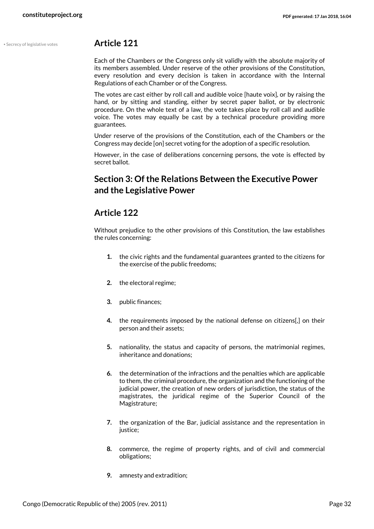# • Secrecy of legislative votes **Article 121**

<span id="page-31-1"></span>Each of the Chambers or the Congress only sit validly with the absolute majority of its members assembled. Under reserve of the other provisions of the Constitution, every resolution and every decision is taken in accordance with the Internal Regulations of each Chamber or of the Congress.

The votes are cast either by roll call and audible voice [haute voix], or by raising the hand, or by sitting and standing, either by secret paper ballot, or by electronic procedure. On the whole text of a law, the vote takes place by roll call and audible voice. The votes may equally be cast by a technical procedure providing more guarantees.

Under reserve of the provisions of the Constitution, each of the Chambers or the Congress may decide [on] secret voting for the adoption of a specific resolution.

However, in the case of deliberations concerning persons, the vote is effected by secret ballot.

# <span id="page-31-0"></span>**Section 3: Of the Relations Between the Executive Power and the Legislative Power**

# **Article 122**

Without prejudice to the other provisions of this Constitution, the law establishes the rules concerning:

- **1.** the civic rights and the fundamental guarantees granted to the citizens for the exercise of the public freedoms;
- **2.** the electoral regime;
- **3.** public finances;
- **4.** the requirements imposed by the national defense on citizens[,] on their person and their assets;
- **5.** nationality, the status and capacity of persons, the matrimonial regimes, inheritance and donations;
- **6.** the determination of the infractions and the penalties which are applicable to them, the criminal procedure, the organization and the functioning of the judicial power, the creation of new orders of jurisdiction, the status of the magistrates, the juridical regime of the Superior Council of the Magistrature;
- **7.** the organization of the Bar, judicial assistance and the representation in justice:
- **8.** commerce, the regime of property rights, and of civil and commercial obligations;
- **9.** amnesty and extradition;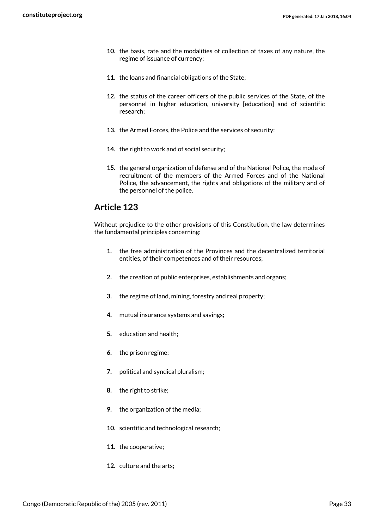- **10.** the basis, rate and the modalities of collection of taxes of any nature, the regime of issuance of currency;
- **11.** the loans and financial obligations of the State;
- **12.** the status of the career officers of the public services of the State, of the personnel in higher education, university [education] and of scientific research;
- **13.** the Armed Forces, the Police and the services of security;
- **14.** the right to work and of social security;
- **15.** the general organization of defense and of the National Police, the mode of recruitment of the members of the Armed Forces and of the National Police, the advancement, the rights and obligations of the military and of the personnel of the police.

#### **Article 123**

Without prejudice to the other provisions of this Constitution, the law determines the fundamental principles concerning:

- **1.** the free administration of the Provinces and the decentralized territorial entities, of their competences and of their resources;
- **2.** the creation of public enterprises, establishments and organs;
- **3.** the regime of land, mining, forestry and real property;
- **4.** mutual insurance systems and savings;
- **5.** education and health;
- **6.** the prison regime;
- **7.** political and syndical pluralism;
- **8.** the right to strike;
- **9.** the organization of the media;
- **10.** scientific and technological research;
- **11.** the cooperative;
- **12.** culture and the arts;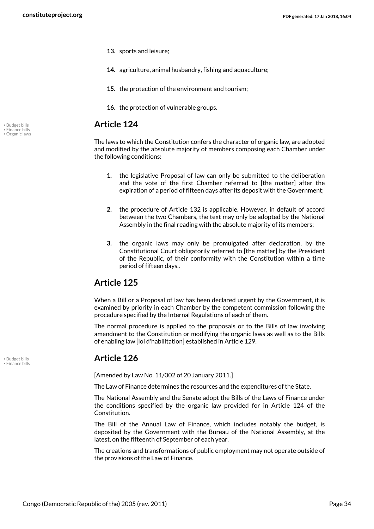- **13.** sports and leisure;
- **14.** agriculture, animal husbandry, fishing and aquaculture;
- **15.** the protection of the environment and tourism;
- **16.** the protection of vulnerable groups.

# • Budget bills **Article 124** • Finance bills

The laws to which the Constitution confers the character of organic law, are adopted and modified by the absolute majority of members composing each Chamber under the following conditions:

- **1.** the legislative Proposal of law can only be submitted to the deliberation and the vote of the first Chamber referred to [the matter] after the expiration of a period of fifteen days after its deposit with the Government;
- **2.** the procedure of Article 132 is applicable. However, in default of accord between the two Chambers, the text may only be adopted by the National Assembly in the final reading with the absolute majority of its members;
- **3.** the organic laws may only be promulgated after declaration, by the Constitutional Court obligatorily referred to [the matter] by the President of the Republic, of their conformity with the Constitution within a time period of fifteen days..

#### **Article 125**

When a Bill or a Proposal of law has been declared urgent by the Government, it is examined by priority in each Chamber by the competent commission following the procedure specified by the Internal Regulations of each of them.

The normal procedure is applied to the proposals or to the Bills of law involving amendment to the Constitution or modifying the organic laws as well as to the Bills of enabling law [loi d'habilitation] established in Article 129.

# • Budget bills **Article 126** • Finance bills

[Amended by Law No. 11/002 of 20 January 2011.]

The Law of Finance determines the resources and the expenditures of the State.

The National Assembly and the Senate adopt the Bills of the Laws of Finance under the conditions specified by the organic law provided for in Article 124 of the Constitution.

The Bill of the Annual Law of Finance, which includes notably the budget, is deposited by the Government with the Bureau of the National Assembly, at the latest, on the fifteenth of September of each year.

The creations and transformations of public employment may not operate outside of the provisions of the Law of Finance.

<span id="page-33-2"></span>• Organic laws

<span id="page-33-1"></span><span id="page-33-0"></span>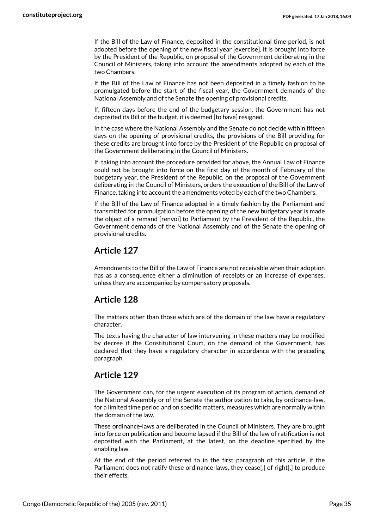If the Bill of the Law of Finance, deposited in the constitutional time period, is not adopted before the opening of the new fiscal year [exercise], it is brought into force by the President of the Republic, on proposal of the Government deliberating in the Council of Ministers, taking into account the amendments adopted by each of the two Chambers.

If the Bill of the Law of Finance has not been deposited in a timely fashion to be promulgated before the start of the fiscal year, the Government demands of the National Assembly and of the Senate the opening of provisional credits.

If, fifteen days before the end of the budgetary session, the Government has not deposited its Bill of the budget, it is deemed [to have] resigned.

In the case where the National Assembly and the Senate do not decide within fifteen days on the opening of provisional credits, the provisions of the Bill providing for these credits are brought into force by the President of the Republic on proposal of the Government deliberating in the Council of Ministers.

If, taking into account the procedure provided for above, the Annual Law of Finance could not be brought into force on the first day of the month of February of the budgetary year, the President of the Republic, on the proposal of the Government deliberating in the Council of Ministers, orders the execution of the Bill of the Law of Finance, taking into account the amendments voted by each of the two Chambers.

If the Bill of the Law of Finance adopted in a timely fashion by the Parliament and transmitted for promulgation before the opening of the new budgetary year is made the object of a remand [renvoi] to Parliament by the President of the Republic, the Government demands of the National Assembly and of the Senate the opening of provisional credits.

#### **Article 127**

Amendments to the Bill of the Law of Finance are not receivable when their adoption has as a consequence either a diminution of receipts or an increase of expenses, unless they are accompanied by compensatory proposals.

#### **Article 128**

The matters other than those which are of the domain of the law have a regulatory character.

The texts having the character of law intervening in these matters may be modified by decree if the Constitutional Court, on the demand of the Government, has declared that they have a regulatory character in accordance with the preceding paragraph.

# **Article 129**

The Government can, for the urgent execution of its program of action, demand of the National Assembly or of the Senate the authorization to take, by ordinance-law, for a limited time period and on specific matters, measures which are normally within the domain of the law.

These ordinance-laws are deliberated in the Council of Ministers. They are brought into force on publication and become lapsed if the Bill of the law of ratification is not deposited with the Parliament, at the latest, on the deadline specified by the enabling law.

At the end of the period referred to in the first paragraph of this article, if the Parliament does not ratify these ordinance-laws, they cease[,] of right[,] to produce their effects.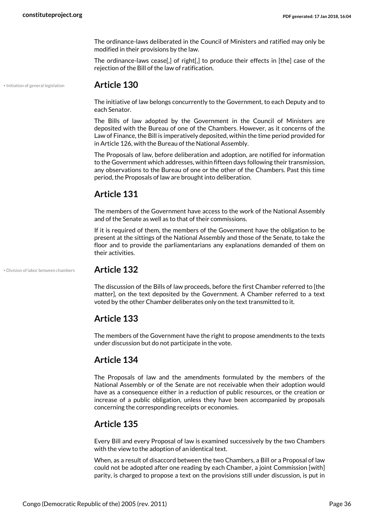The ordinance-laws deliberated in the Council of Ministers and ratified may only be modified in their provisions by the law.

The ordinance-laws cease[,] of right[,] to produce their effects in [the] case of the rejection of the Bill of the law of ratification.

• Initiation of general legislation **Article 130**

<span id="page-35-1"></span>The initiative of law belongs concurrently to the Government, to each Deputy and to each Senator.

The Bills of law adopted by the Government in the Council of Ministers are deposited with the Bureau of one of the Chambers. However, as it concerns of the Law of Finance, the Bill is imperatively deposited, within the time period provided for in Article 126, with the Bureau of the National Assembly.

The Proposals of law, before deliberation and adoption, are notified for information to the Government which addresses, within fifteen days following their transmission, any observations to the Bureau of one or the other of the Chambers. Past this time period, the Proposals of law are brought into deliberation.

# **Article 131**

The members of the Government have access to the work of the National Assembly and of the Senate as well as to that of their commissions.

If it is required of them, the members of the Government have the obligation to be present at the sittings of the National Assembly and those of the Senate, to take the floor and to provide the parliamentarians any explanations demanded of them on their activities.

• Division of labor between chambers **Article 132**

<span id="page-35-0"></span>The discussion of the Bills of law proceeds, before the first Chamber referred to [the matter], on the text deposited by the Government. A Chamber referred to a text voted by the other Chamber deliberates only on the text transmitted to it.

# **Article 133**

The members of the Government have the right to propose amendments to the texts under discussion but do not participate in the vote.

# **Article 134**

The Proposals of law and the amendments formulated by the members of the National Assembly or of the Senate are not receivable when their adoption would have as a consequence either in a reduction of public resources, or the creation or increase of a public obligation, unless they have been accompanied by proposals concerning the corresponding receipts or economies.

# **Article 135**

Every Bill and every Proposal of law is examined successively by the two Chambers with the view to the adoption of an identical text.

When, as a result of disaccord between the two Chambers, a Bill or a Proposal of law could not be adopted after one reading by each Chamber, a joint Commission [with] parity, is charged to propose a text on the provisions still under discussion, is put in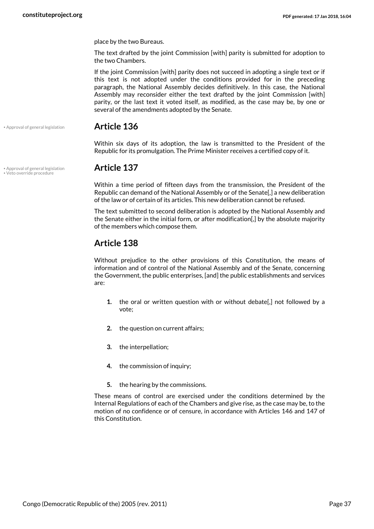place by the two Bureaus.

The text drafted by the joint Commission [with] parity is submitted for adoption to the two Chambers.

If the joint Commission [with] parity does not succeed in adopting a single text or if this text is not adopted under the conditions provided for in the preceding paragraph, the National Assembly decides definitively. In this case, the National Assembly may reconsider either the text drafted by the joint Commission [with] parity, or the last text it voted itself, as modified, as the case may be, by one or several of the amendments adopted by the Senate.

• Approval of general legislation **Article 136**

Within six days of its adoption, the law is transmitted to the President of the Republic for its promulgation. The Prime Minister receives a certified copy of it.

<span id="page-36-1"></span><span id="page-36-0"></span>Within a time period of fifteen days from the transmission, the President of the Republic can demand of the National Assembly or of the Senate[,] a new deliberation of the law or of certain of its articles. This new deliberation cannot be refused.

The text submitted to second deliberation is adopted by the National Assembly and the Senate either in the initial form, or after modification[,] by the absolute majority of the members which compose them.

#### **Article 138**

Without prejudice to the other provisions of this Constitution, the means of information and of control of the National Assembly and of the Senate, concerning the Government, the public enterprises, [and] the public establishments and services are:

- **1.** the oral or written question with or without debate[,] not followed by a vote;
- **2.** the question on current affairs;
- **3.** the interpellation;
- **4.** the commission of inquiry;
- **5.** the hearing by the commissions.

These means of control are exercised under the conditions determined by the Internal Regulations of each of the Chambers and give rise, as the case may be, to the motion of no confidence or of censure, in accordance with Articles 146 and 147 of this Constitution.

• Approval of general legislation **Article 137** • Veto override procedure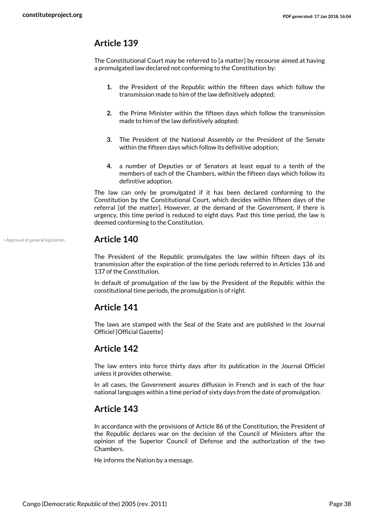# **Article 139**

The Constitutional Court may be referred to [a matter] by recourse aimed at having a promulgated law declared not conforming to the Constitution by:

- **1.** the President of the Republic within the fifteen days which follow the transmission made to him of the law definitively adopted;
- **2.** the Prime Minister within the fifteen days which follow the transmission made to him of the law definitively adopted;
- **3.** The President of the National Assembly or the President of the Senate within the fifteen days which follow its definitive adoption;
- **4.** a number of Deputies or of Senators at least equal to a tenth of the members of each of the Chambers, within the fifteen days which follow its definitive adoption.

The law can only be promulgated if it has been declared conforming to the Constitution by the Constitutional Court, which decides within fifteen days of the referral [of the matter]. However, at the demand of the Government, if there is urgency, this time period is reduced to eight days. Past this time period, the law is deemed conforming to the Constitution.

#### • Approval of general legislation **Article 140**

<span id="page-37-0"></span>

The President of the Republic promulgates the law within fifteen days of its transmission after the expiration of the time periods referred to in Articles 136 and 137 of the Constitution.

In default of promulgation of the law by the President of the Republic within the constitutional time periods, the promulgation is of right.

# **Article 141**

The laws are stamped with the Seal of the State and are published in the Journal Officiel [Official Gazette]

# **Article 142**

The law enters into force thirty days after its publication in the Journal Officiel unless it provides otherwise.

In all cases, the Government assures diffusion in French and in each of the four national languages within a time period of sixty days from the date of promulgation.

# **Article 143**

In accordance with the provisions of Article 86 of the Constitution, the President of the Republic declares war on the decision of the Council of Ministers after the opinion of the Superior Council of Defense and the authorization of the two Chambers.

He informs the Nation by a message.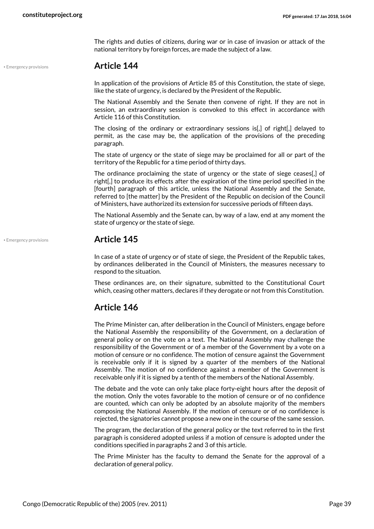The rights and duties of citizens, during war or in case of invasion or attack of the national territory by foreign forces, are made the subject of a law.

#### • Emergency provisions **Article 144**

In application of the provisions of Article 85 of this Constitution, the state of siege, like the state of urgency, is declared by the President of the Republic.

The National Assembly and the Senate then convene of right. If they are not in session, an extraordinary session is convoked to this effect in accordance with Article 116 of this Constitution.

The closing of the ordinary or extraordinary sessions is[,] of right[,] delayed to permit, as the case may be, the application of the provisions of the preceding paragraph.

The state of urgency or the state of siege may be proclaimed for all or part of the territory of the Republic for a time period of thirty days.

The ordinance proclaiming the state of urgency or the state of siege ceases[,] of right[,] to produce its effects after the expiration of the time period specified in the [fourth] paragraph of this article, unless the National Assembly and the Senate, referred to [the matter] by the President of the Republic on decision of the Council of Ministers, have authorized its extension for successive periods of fifteen days.

The National Assembly and the Senate can, by way of a law, end at any moment the state of urgency or the state of siege.

#### • Emergency provisions **Article 145**

<span id="page-38-0"></span>In case of a state of urgency or of state of siege, the President of the Republic takes, by ordinances deliberated in the Council of Ministers, the measures necessary to respond to the situation.

These ordinances are, on their signature, submitted to the Constitutional Court which, ceasing other matters, declares if they derogate or not from this Constitution.

# **Article 146**

The Prime Minister can, after deliberation in the Council of Ministers, engage before the National Assembly the responsibility of the Government, on a declaration of general policy or on the vote on a text. The National Assembly may challenge the responsibility of the Government or of a member of the Government by a vote on a motion of censure or no confidence. The motion of censure against the Government is receivable only if it is signed by a quarter of the members of the National Assembly. The motion of no confidence against a member of the Government is receivable only if it is signed by a tenth of the members of the National Assembly.

The debate and the vote can only take place forty-eight hours after the deposit of the motion. Only the votes favorable to the motion of censure or of no confidence are counted, which can only be adopted by an absolute majority of the members composing the National Assembly. If the motion of censure or of no confidence is rejected, the signatories cannot propose a new one in the course of the same session.

The program, the declaration of the general policy or the text referred to in the first paragraph is considered adopted unless if a motion of censure is adopted under the conditions specified in paragraphs 2 and 3 of this article.

The Prime Minister has the faculty to demand the Senate for the approval of a declaration of general policy.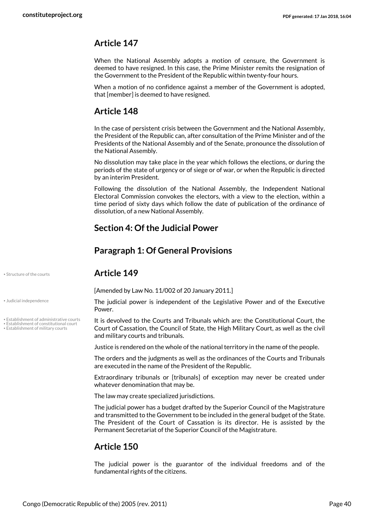# **Article 147**

When the National Assembly adopts a motion of censure, the Government is deemed to have resigned. In this case, the Prime Minister remits the resignation of the Government to the President of the Republic within twenty-four hours.

When a motion of no confidence against a member of the Government is adopted, that [member] is deemed to have resigned.

# **Article 148**

In the case of persistent crisis between the Government and the National Assembly, the President of the Republic can, after consultation of the Prime Minister and of the Presidents of the National Assembly and of the Senate, pronounce the dissolution of the National Assembly.

No dissolution may take place in the year which follows the elections, or during the periods of the state of urgency or of siege or of war, or when the Republic is directed by an interim President.

Following the dissolution of the National Assembly, the Independent National Electoral Commission convokes the electors, with a view to the election, within a time period of sixty days which follow the date of publication of the ordinance of dissolution, of a new National Assembly.

# <span id="page-39-0"></span>**Section 4: Of the Judicial Power**

# <span id="page-39-1"></span>**Paragraph 1: Of General Provisions**

• Structure of the courts **Article 149**

<span id="page-39-6"></span><span id="page-39-5"></span>

[Amended by Law No. 11/002 of 20 January 2011.]

The judicial power is independent of the Legislative Power and of the Executive Power.

<span id="page-39-4"></span><span id="page-39-3"></span><span id="page-39-2"></span>It is devolved to the Courts and Tribunals which are: the Constitutional Court, the Court of Cassation, the Council of State, the High Military Court, as well as the civil and military courts and tribunals.

Justice is rendered on the whole of the national territory in the name of the people.

The orders and the judgments as well as the ordinances of the Courts and Tribunals are executed in the name of the President of the Republic.

Extraordinary tribunals or [tribunals] of exception may never be created under whatever denomination that may be.

The law may create specialized jurisdictions.

The judicial power has a budget drafted by the Superior Council of the Magistrature and transmitted to the Government to be included in the general budget of the State. The President of the Court of Cassation is its director. He is assisted by the Permanent Secretariat of the Superior Council of the Magistrature.

# **Article 150**

The judicial power is the guarantor of the individual freedoms and of the fundamental rights of the citizens.

• Judicial independence

• Establishment of administrative courts

• Establishment of constitutional court • Establishment of military courts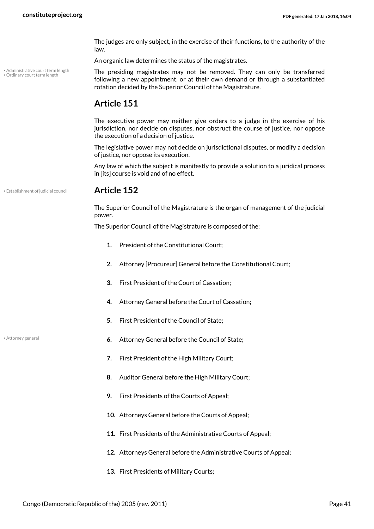The judges are only subject, in the exercise of their functions, to the authority of the law.

An organic law determines the status of the magistrates.

• Administrative court term length • Ordinary court term length

<span id="page-40-3"></span><span id="page-40-0"></span>The presiding magistrates may not be removed. They can only be transferred following a new appointment, or at their own demand or through a substantiated rotation decided by the Superior Council of the Magistrature.

# **Article 151**

The executive power may neither give orders to a judge in the exercise of his jurisdiction, nor decide on disputes, nor obstruct the course of justice, nor oppose the execution of a decision of justice.

The legislative power may not decide on jurisdictional disputes, or modify a decision of justice, nor oppose its execution.

Any law of which the subject is manifestly to provide a solution to a juridical process in [its] course is void and of no effect.

• Establishment of judicial council **Article 152**

<span id="page-40-2"></span>The Superior Council of the Magistrature is the organ of management of the judicial power.

The Superior Council of the Magistrature is composed of the:

- **1.** President of the Constitutional Court;
- **2.** Attorney [Procureur] General before the Constitutional Court;
- **3.** First President of the Court of Cassation;
- **4.** Attorney General before the Court of Cassation;
- **5.** First President of the Council of State;

<span id="page-40-1"></span>

- **6.** Attorney general **6.** Attorney General before the Council of State;
	- **7.** First President of the High Military Court;
	- **8.** Auditor General before the High Military Court;
	- **9.** First Presidents of the Courts of Appeal;
	- **10.** Attorneys General before the Courts of Appeal;
	- **11.** First Presidents of the Administrative Courts of Appeal;
	- **12.** Attorneys General before the Administrative Courts of Appeal;
	- **13.** First Presidents of Military Courts;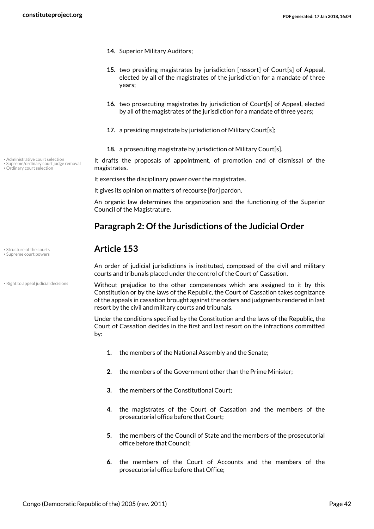- **14.** Superior Military Auditors;
- **15.** two presiding magistrates by jurisdiction [ressort] of Court[s] of Appeal, elected by all of the magistrates of the jurisdiction for a mandate of three years;
- **16.** two prosecuting magistrates by jurisdiction of Court[s] of Appeal, elected by all of the magistrates of the jurisdiction for a mandate of three years;
- **17.** a presiding magistrate by jurisdiction of Military Court[s];
- <span id="page-41-0"></span>**18.** a prosecuting magistrate by jurisdiction of Military Court[s].

<span id="page-41-6"></span><span id="page-41-2"></span><span id="page-41-1"></span>It drafts the proposals of appointment, of promotion and of dismissal of the magistrates.

It exercises the disciplinary power over the magistrates.

It gives its opinion on matters of recourse [for] pardon.

An organic law determines the organization and the functioning of the Superior Council of the Magistrature.

# **Paragraph 2: Of the Jurisdictions of the Judicial Order**

# • Structure of the courts **Article 153** • Supreme court powers

An order of judicial jurisdictions is instituted, composed of the civil and military courts and tribunals placed under the control of the Court of Cassation.

<span id="page-41-3"></span>Without prejudice to the other competences which are assigned to it by this Constitution or by the laws of the Republic, the Court of Cassation takes cognizance of the appeals in cassation brought against the orders and judgments rendered in last resort by the civil and military courts and tribunals.

Under the conditions specified by the Constitution and the laws of the Republic, the Court of Cassation decides in the first and last resort on the infractions committed by:

- **1.** the members of the National Assembly and the Senate;
- **2.** the members of the Government other than the Prime Minister;
- **3.** the members of the Constitutional Court;
- **4.** the magistrates of the Court of Cassation and the members of the prosecutorial office before that Court;
- **5.** the members of the Council of State and the members of the prosecutorial office before that Council;
- **6.** the members of the Court of Accounts and the members of the prosecutorial office before that Office;

• Administrative court selection • Supreme/ordinary court judge removal • Ordinary court selection

<span id="page-41-5"></span><span id="page-41-4"></span>

• Right to appeal judicial decisions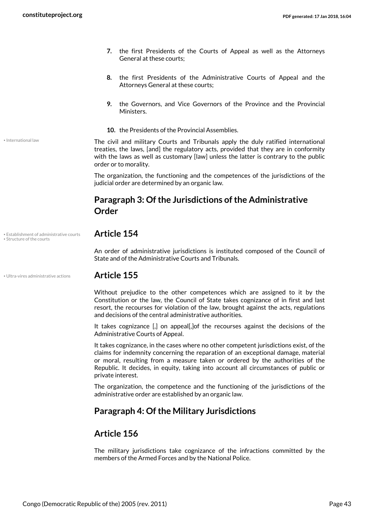<span id="page-42-3"></span>• International law

- **7.** the first Presidents of the Courts of Appeal as well as the Attorneys General at these courts;
- **8.** the first Presidents of the Administrative Courts of Appeal and the Attorneys General at these courts;
- **9.** the Governors, and Vice Governors of the Province and the Provincial Ministers.
- **10.** the Presidents of the Provincial Assemblies.

The civil and military Courts and Tribunals apply the duly ratified international treaties, the laws, [and] the regulatory acts, provided that they are in conformity with the laws as well as customary [law] unless the latter is contrary to the public order or to morality.

The organization, the functioning and the competences of the jurisdictions of the judicial order are determined by an organic law.

# <span id="page-42-0"></span>**Paragraph 3: Of the Jurisdictions of the Administrative Order**

• Establishment of administrative courts **Article 154** • Structure of the courts

<span id="page-42-4"></span><span id="page-42-2"></span>An order of administrative jurisdictions is instituted composed of the Council of State and of the Administrative Courts and Tribunals.

#### • Ultra-vires administrative actions **Article 155**

<span id="page-42-5"></span>Without prejudice to the other competences which are assigned to it by the Constitution or the law, the Council of State takes cognizance of in first and last resort, the recourses for violation of the law, brought against the acts, regulations and decisions of the central administrative authorities.

It takes cognizance [,] on appeal[,]of the recourses against the decisions of the Administrative Courts of Appeal.

It takes cognizance, in the cases where no other competent jurisdictions exist, of the claims for indemnity concerning the reparation of an exceptional damage, material or moral, resulting from a measure taken or ordered by the authorities of the Republic. It decides, in equity, taking into account all circumstances of public or private interest.

The organization, the competence and the functioning of the jurisdictions of the administrative order are established by an organic law.

# <span id="page-42-1"></span>**Paragraph 4: Of the Military Jurisdictions**

# **Article 156**

The military jurisdictions take cognizance of the infractions committed by the members of the Armed Forces and by the National Police.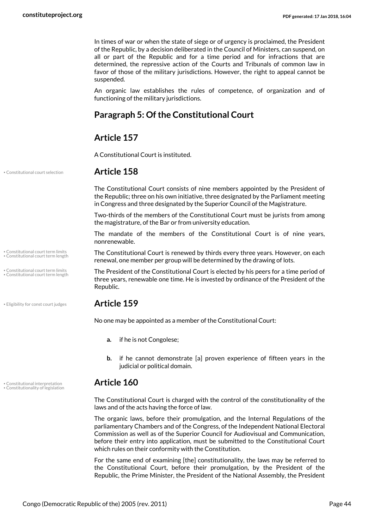In times of war or when the state of siege or of urgency is proclaimed, the President of the Republic, by a decision deliberated in the Council of Ministers, can suspend, on all or part of the Republic and for a time period and for infractions that are determined, the repressive action of the Courts and Tribunals of common law in favor of those of the military jurisdictions. However, the right to appeal cannot be suspended.

An organic law establishes the rules of competence, of organization and of functioning of the military jurisdictions.

# <span id="page-43-0"></span>**Paragraph 5: Of the Constitutional Court**

# **Article 157**

A Constitutional Court is instituted.

• Constitutional court selection **Article 158**

• Constitutional court term limits • Constitutional court term length

• Constitutional court term limits • Constitutional court term length

• Constitutional interpretation **Article 160** • Constitutionality of legislation

<span id="page-43-1"></span>The Constitutional Court consists of nine members appointed by the President of the Republic; three on his own initiative, three designated by the Parliament meeting in Congress and three designated by the Superior Council of the Magistrature.

Two-thirds of the members of the Constitutional Court must be jurists from among the magistrature, of the Bar or from university education.

The mandate of the members of the Constitutional Court is of nine years, nonrenewable.

The Constitutional Court is renewed by thirds every three years. However, on each renewal, one member per group will be determined by the drawing of lots.

<span id="page-43-3"></span><span id="page-43-2"></span>The President of the Constitutional Court is elected by his peers for a time period of three years, renewable one time. He is invested by ordinance of the President of the Republic.

#### • Eligibility for const court judges **Article 159**

<span id="page-43-6"></span>No one may be appointed as a member of the Constitutional Court:

- **a.** if he is not Congolese;
- **b.** if he cannot demonstrate [a] proven experience of fifteen years in the judicial or political domain.

<span id="page-43-5"></span><span id="page-43-4"></span>The Constitutional Court is charged with the control of the constitutionality of the laws and of the acts having the force of law.

The organic laws, before their promulgation, and the Internal Regulations of the parliamentary Chambers and of the Congress, of the Independent National Electoral Commission as well as of the Superior Council for Audiovisual and Communication, before their entry into application, must be submitted to the Constitutional Court which rules on their conformity with the Constitution.

For the same end of examining [the] constitutionality, the laws may be referred to the Constitutional Court, before their promulgation, by the President of the Republic, the Prime Minister, the President of the National Assembly, the President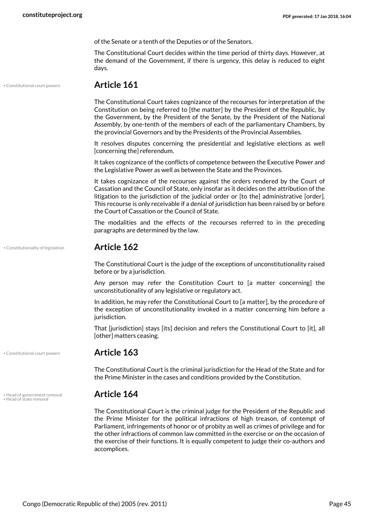of the Senate or a tenth of the Deputies or of the Senators.

The Constitutional Court decides within the time period of thirty days. However, at the demand of the Government, if there is urgency, this delay is reduced to eight days.

• Constitutional court powers **Article 161**

The Constitutional Court takes cognizance of the recourses for interpretation of the Constitution on being referred to [the matter] by the President of the Republic, by the Government, by the President of the Senate, by the President of the National Assembly, by one-tenth of the members of each of the parliamentary Chambers, by the provincial Governors and by the Presidents of the Provincial Assemblies.

It resolves disputes concerning the presidential and legislative elections as well [concerning the] referendum.

It takes cognizance of the conflicts of competence between the Executive Power and the Legislative Power as well as between the State and the Provinces.

It takes cognizance of the recourses against the orders rendered by the Court of Cassation and the Council of State, only insofar as it decides on the attribution of the litigation to the jurisdiction of the judicial order or [to the] administrative [order]. This recourse is only receivable if a denial of jurisdiction has been raised by or before the Court of Cassation or the Council of State.

The modalities and the effects of the recourses referred to in the preceding paragraphs are determined by the law.

#### • Constitutionality of legislation **Article 162**

<span id="page-44-1"></span>The Constitutional Court is the judge of the exceptions of unconstitutionality raised before or by a jurisdiction.

Any person may refer the Constitution Court to [a matter concerning] the unconstitutionality of any legislative or regulatory act.

In addition, he may refer the Constitutional Court to [a matter], by the procedure of the exception of unconstitutionality invoked in a matter concerning him before a jurisdiction.

That [jurisdiction] stays [its] decision and refers the Constitutional Court to [it], all [other] matters ceasing.

#### • Constitutional court powers **Article 163**

<span id="page-44-0"></span>The Constitutional Court is the criminal jurisdiction for the Head of the State and for the Prime Minister in the cases and conditions provided by the Constitution.

# <span id="page-44-3"></span> $\bullet$  Head of government removal **Article 164**

<span id="page-44-2"></span>The Constitutional Court is the criminal judge for the President of the Republic and the Prime Minister for the political infractions of high treason, of contempt of Parliament, infringements of honor or of probity as well as crimes of privilege and for the other infractions of common law committed in the exercise or on the occasion of the exercise of their functions. It is equally competent to judge their co-authors and accomplices.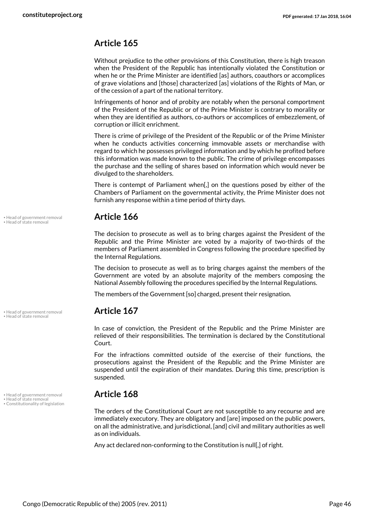# **Article 165**

Without prejudice to the other provisions of this Constitution, there is high treason when the President of the Republic has intentionally violated the Constitution or when he or the Prime Minister are identified [as] authors, coauthors or accomplices of grave violations and [those] characterized [as] violations of the Rights of Man, or of the cession of a part of the national territory.

Infringements of honor and of probity are notably when the personal comportment of the President of the Republic or of the Prime Minister is contrary to morality or when they are identified as authors, co-authors or accomplices of embezzlement, of corruption or illicit enrichment.

There is crime of privilege of the President of the Republic or of the Prime Minister when he conducts activities concerning immovable assets or merchandise with regard to which he possesses privileged information and by which he profited before this information was made known to the public. The crime of privilege encompasses the purchase and the selling of shares based on information which would never be divulged to the shareholders.

There is contempt of Parliament when[,] on the questions posed by either of the Chambers of Parliament on the governmental activity, the Prime Minister does not furnish any response within a time period of thirty days.

The decision to prosecute as well as to bring charges against the President of the Republic and the Prime Minister are voted by a majority of two-thirds of the members of Parliament assembled in Congress following the procedure specified by the Internal Regulations.

The decision to prosecute as well as to bring charges against the members of the Government are voted by an absolute majority of the members composing the National Assembly following the procedures specified by the Internal Regulations.

The members of the Government [so] charged, present their resignation.

In case of conviction, the President of the Republic and the Prime Minister are relieved of their responsibilities. The termination is declared by the Constitutional Court.

For the infractions committed outside of the exercise of their functions, the prosecutions against the President of the Republic and the Prime Minister are suspended until the expiration of their mandates. During this time, prescription is suspended.

<span id="page-45-1"></span><span id="page-45-0"></span>The orders of the Constitutional Court are not susceptible to any recourse and are immediately executory. They are obligatory and [are] imposed on the public powers, on all the administrative, and jurisdictional, [and] civil and military authorities as well as on individuals.

Any act declared non-conforming to the Constitution is null[,] of right.

• Head of government removal **Article 166** • Head of state removal

• Head of government removal **Article 167** • Head of state removal

• Head of government removal **Article 168** • Head of state removal • Constitutionality of legislation

<span id="page-45-2"></span>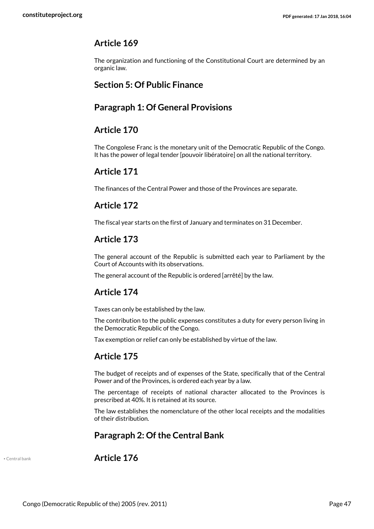### **Article 169**

The organization and functioning of the Constitutional Court are determined by an organic law.

#### <span id="page-46-0"></span>**Section 5: Of Public Finance**

### <span id="page-46-1"></span>**Paragraph 1: Of General Provisions**

#### **Article 170**

The Congolese Franc is the monetary unit of the Democratic Republic of the Congo. It has the power of legal tender [pouvoir libératoire] on all the national territory.

#### **Article 171**

The finances of the Central Power and those of the Provinces are separate.

# **Article 172**

The fiscal year starts on the first of January and terminates on 31 December.

#### **Article 173**

The general account of the Republic is submitted each year to Parliament by the Court of Accounts with its observations.

The general account of the Republic is ordered [arrêté] by the law.

# **Article 174**

Taxes can only be established by the law.

The contribution to the public expenses constitutes a duty for every person living in the Democratic Republic of the Congo.

Tax exemption or relief can only be established by virtue of the law.

# **Article 175**

The budget of receipts and of expenses of the State, specifically that of the Central Power and of the Provinces, is ordered each year by a law.

The percentage of receipts of national character allocated to the Provinces is prescribed at 40%. It is retained at its source.

The law establishes the nomenclature of the other local receipts and the modalities of their distribution.

#### <span id="page-46-2"></span>**Paragraph 2: Of the Central Bank**

<span id="page-46-3"></span>

• Central bank **Article 176**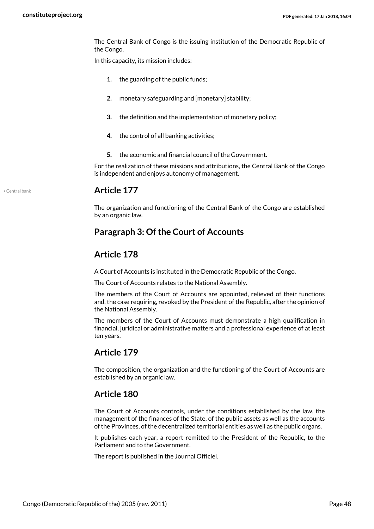The Central Bank of Congo is the issuing institution of the Democratic Republic of the Congo.

In this capacity, its mission includes:

- **1.** the guarding of the public funds;
- **2.** monetary safeguarding and [monetary] stability;
- **3.** the definition and the implementation of monetary policy;
- **4.** the control of all banking activities;
- **5.** the economic and financial council of the Government.

For the realization of these missions and attributions, the Central Bank of the Congo is independent and enjoys autonomy of management.

#### • Central bank **Article 177**

The organization and functioning of the Central Bank of the Congo are established by an organic law.

# <span id="page-47-0"></span>**Paragraph 3: Of the Court of Accounts**

#### **Article 178**

A Court of Accounts is instituted in the Democratic Republic of the Congo.

The Court of Accounts relates to the National Assembly.

The members of the Court of Accounts are appointed, relieved of their functions and, the case requiring, revoked by the President of the Republic, after the opinion of the National Assembly.

The members of the Court of Accounts must demonstrate a high qualification in financial, juridical or administrative matters and a professional experience of at least ten years.

#### **Article 179**

The composition, the organization and the functioning of the Court of Accounts are established by an organic law.

#### **Article 180**

The Court of Accounts controls, under the conditions established by the law, the management of the finances of the State, of the public assets as well as the accounts of the Provinces, of the decentralized territorial entities as well as the public organs.

It publishes each year, a report remitted to the President of the Republic, to the Parliament and to the Government.

The report is published in the Journal Officiel.

<span id="page-47-1"></span>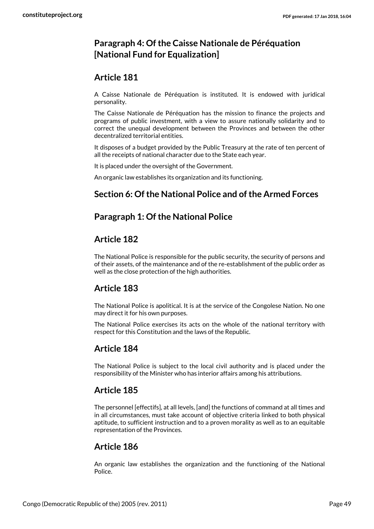# <span id="page-48-0"></span>**Paragraph 4: Of the Caisse Nationale de Péréquation [National Fund for Equalization]**

# **Article 181**

A Caisse Nationale de Péréquation is instituted. It is endowed with juridical personality.

The Caisse Nationale de Péréquation has the mission to finance the projects and programs of public investment, with a view to assure nationally solidarity and to correct the unequal development between the Provinces and between the other decentralized territorial entities.

It disposes of a budget provided by the Public Treasury at the rate of ten percent of all the receipts of national character due to the State each year.

It is placed under the oversight of the Government.

An organic law establishes its organization and its functioning.

# <span id="page-48-1"></span>**Section 6: Of the National Police and of the Armed Forces**

# <span id="page-48-2"></span>**Paragraph 1: Of the National Police**

# **Article 182**

The National Police is responsible for the public security, the security of persons and of their assets, of the maintenance and of the re-establishment of the public order as well as the close protection of the high authorities.

# **Article 183**

The National Police is apolitical. It is at the service of the Congolese Nation. No one may direct it for his own purposes.

The National Police exercises its acts on the whole of the national territory with respect for this Constitution and the laws of the Republic.

# **Article 184**

The National Police is subject to the local civil authority and is placed under the responsibility of the Minister who has interior affairs among his attributions.

# **Article 185**

The personnel [effectifs], at all levels, [and] the functions of command at all times and in all circumstances, must take account of objective criteria linked to both physical aptitude, to sufficient instruction and to a proven morality as well as to an equitable representation of the Provinces.

# **Article 186**

An organic law establishes the organization and the functioning of the National Police.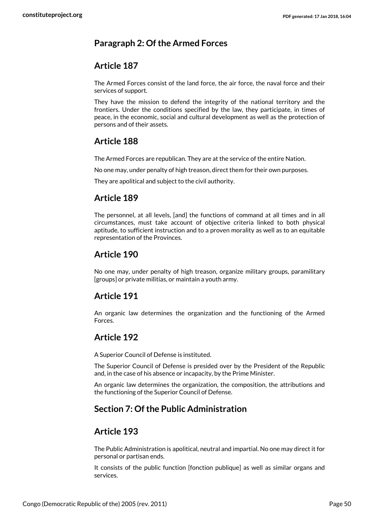### <span id="page-49-0"></span>**Paragraph 2: Of the Armed Forces**

# **Article 187**

The Armed Forces consist of the land force, the air force, the naval force and their services of support.

They have the mission to defend the integrity of the national territory and the frontiers. Under the conditions specified by the law, they participate, in times of peace, in the economic, social and cultural development as well as the protection of persons and of their assets.

# **Article 188**

The Armed Forces are republican. They are at the service of the entire Nation.

No one may, under penalty of high treason, direct them for their own purposes.

They are apolitical and subject to the civil authority.

# **Article 189**

The personnel, at all levels, [and] the functions of command at all times and in all circumstances, must take account of objective criteria linked to both physical aptitude, to sufficient instruction and to a proven morality as well as to an equitable representation of the Provinces.

#### **Article 190**

No one may, under penalty of high treason, organize military groups, paramilitary [groups] or private militias, or maintain a youth army.

#### **Article 191**

An organic law determines the organization and the functioning of the Armed Forces.

# **Article 192**

A Superior Council of Defense is instituted.

The Superior Council of Defense is presided over by the President of the Republic and, in the case of his absence or incapacity, by the Prime Minister.

An organic law determines the organization, the composition, the attributions and the functioning of the Superior Council of Defense.

# <span id="page-49-1"></span>**Section 7: Of the Public Administration**

#### **Article 193**

The Public Administration is apolitical, neutral and impartial. No one may direct it for personal or partisan ends.

It consists of the public function [fonction publique] as well as similar organs and services.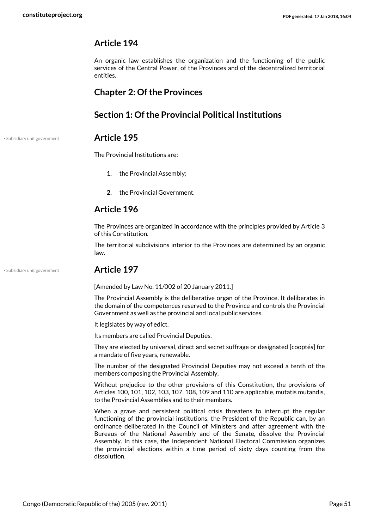# **Article 194**

An organic law establishes the organization and the functioning of the public services of the Central Power, of the Provinces and of the decentralized territorial entities.

### <span id="page-50-0"></span>**Chapter 2: Of the Provinces**

# **Section 1: Of the Provincial Political Institutions**

#### • Subsidiary unit government **Article 195**

The Provincial Institutions are:

- <span id="page-50-1"></span>**1.** the Provincial Assembly;
- **2.** the Provincial Government.

# **Article 196**

The Provinces are organized in accordance with the principles provided by Article 3 of this Constitution.

The territorial subdivisions interior to the Provinces are determined by an organic law.

#### • Subsidiary unit government **Article 197**

<span id="page-50-2"></span>[Amended by Law No. 11/002 of 20 January 2011.]

The Provincial Assembly is the deliberative organ of the Province. It deliberates in the domain of the competences reserved to the Province and controls the Provincial Government as well as the provincial and local public services.

It legislates by way of edict.

Its members are called Provincial Deputies.

They are elected by universal, direct and secret suffrage or designated [cooptés] for a mandate of five years, renewable.

The number of the designated Provincial Deputies may not exceed a tenth of the members composing the Provincial Assembly.

Without prejudice to the other provisions of this Constitution, the provisions of Articles 100, 101, 102, 103, 107, 108, 109 and 110 are applicable, mutatis mutandis, to the Provincial Assemblies and to their members.

When a grave and persistent political crisis threatens to interrupt the regular functioning of the provincial institutions, the President of the Republic can, by an ordinance deliberated in the Council of Ministers and after agreement with the Bureaus of the National Assembly and of the Senate, dissolve the Provincial Assembly. In this case, the Independent National Electoral Commission organizes the provincial elections within a time period of sixty days counting from the dissolution.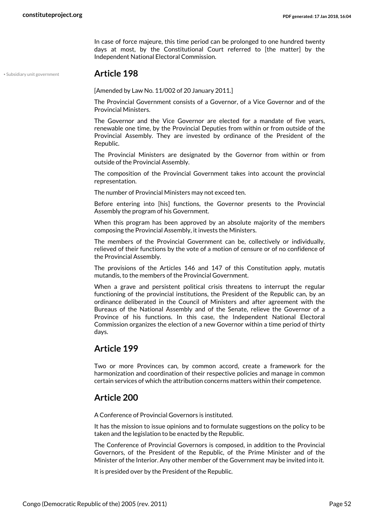In case of force majeure, this time period can be prolonged to one hundred twenty days at most, by the Constitutional Court referred to [the matter] by the Independent National Electoral Commission.

#### • Subsidiary unit government **Article 198**

<span id="page-51-0"></span>[Amended by Law No. 11/002 of 20 January 2011.]

The Provincial Government consists of a Governor, of a Vice Governor and of the Provincial Ministers.

The Governor and the Vice Governor are elected for a mandate of five years, renewable one time, by the Provincial Deputies from within or from outside of the Provincial Assembly. They are invested by ordinance of the President of the Republic.

The Provincial Ministers are designated by the Governor from within or from outside of the Provincial Assembly.

The composition of the Provincial Government takes into account the provincial representation.

The number of Provincial Ministers may not exceed ten.

Before entering into [his] functions, the Governor presents to the Provincial Assembly the program of his Government.

When this program has been approved by an absolute majority of the members composing the Provincial Assembly, it invests the Ministers.

The members of the Provincial Government can be, collectively or individually, relieved of their functions by the vote of a motion of censure or of no confidence of the Provincial Assembly.

The provisions of the Articles 146 and 147 of this Constitution apply, mutatis mutandis, to the members of the Provincial Government.

When a grave and persistent political crisis threatens to interrupt the regular functioning of the provincial institutions, the President of the Republic can, by an ordinance deliberated in the Council of Ministers and after agreement with the Bureaus of the National Assembly and of the Senate, relieve the Governor of a Province of his functions. In this case, the Independent National Electoral Commission organizes the election of a new Governor within a time period of thirty days.

#### **Article 199**

Two or more Provinces can, by common accord, create a framework for the harmonization and coordination of their respective policies and manage in common certain services of which the attribution concerns matters within their competence.

#### **Article 200**

A Conference of Provincial Governors is instituted.

It has the mission to issue opinions and to formulate suggestions on the policy to be taken and the legislation to be enacted by the Republic.

The Conference of Provincial Governors is composed, in addition to the Provincial Governors, of the President of the Republic, of the Prime Minister and of the Minister of the Interior. Any other member of the Government may be invited into it.

It is presided over by the President of the Republic.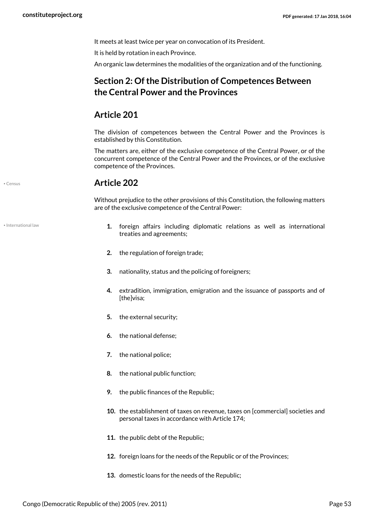It meets at least twice per year on convocation of its President.

It is held by rotation in each Province.

An organic law determines the modalities of the organization and of the functioning.

# <span id="page-52-0"></span>**Section 2: Of the Distribution of Competences Between the Central Power and the Provinces**

#### **Article 201**

The division of competences between the Central Power and the Provinces is established by this Constitution.

The matters are, either of the exclusive competence of the Central Power, or of the concurrent competence of the Central Power and the Provinces, or of the exclusive competence of the Provinces.

#### • Census **Article 202**

Without prejudice to the other provisions of this Constitution, the following matters are of the exclusive competence of the Central Power:

- **1.** foreign affairs including diplomatic relations as well as international treaties and agreements;
- **2.** the regulation of foreign trade;
- **3.** nationality, status and the policing of foreigners;
- **4.** extradition, immigration, emigration and the issuance of passports and of [the]visa;
- **5.** the external security;
- **6.** the national defense;
- **7.** the national police;
- **8.** the national public function;
- **9.** the public finances of the Republic;
- **10.** the establishment of taxes on revenue, taxes on [commercial] societies and personal taxes in accordance with Article 174;
- **11.** the public debt of the Republic;
- **12.** foreign loans for the needs of the Republic or of the Provinces;
- **13.** domestic loans for the needs of the Republic;

<span id="page-52-1"></span>

<span id="page-52-2"></span>• International law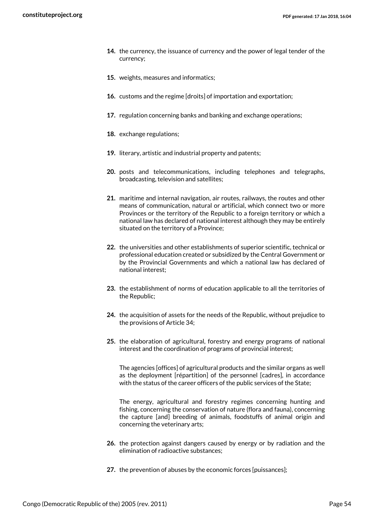- **14.** the currency, the issuance of currency and the power of legal tender of the currency;
- **15.** weights, measures and informatics;
- **16.** customs and the regime [droits] of importation and exportation;
- **17.** regulation concerning banks and banking and exchange operations;
- **18.** exchange regulations;
- **19.** literary, artistic and industrial property and patents;
- **20.** posts and telecommunications, including telephones and telegraphs, broadcasting, television and satellites;
- **21.** maritime and internal navigation, air routes, railways, the routes and other means of communication, natural or artificial, which connect two or more Provinces or the territory of the Republic to a foreign territory or which a national law has declared of national interest although they may be entirely situated on the territory of a Province;
- **22.** the universities and other establishments of superior scientific, technical or professional education created or subsidized by the Central Government or by the Provincial Governments and which a national law has declared of national interest;
- **23.** the establishment of norms of education applicable to all the territories of the Republic;
- **24.** the acquisition of assets for the needs of the Republic, without prejudice to the provisions of Article 34;
- **25.** the elaboration of agricultural, forestry and energy programs of national interest and the coordination of programs of provincial interest;

The agencies [offices] of agricultural products and the similar organs as well as the deployment [répartition] of the personnel [cadres], in accordance with the status of the career officers of the public services of the State;

The energy, agricultural and forestry regimes concerning hunting and fishing, concerning the conservation of nature (flora and fauna), concerning the capture [and] breeding of animals, foodstuffs of animal origin and concerning the veterinary arts;

- **26.** the protection against dangers caused by energy or by radiation and the elimination of radioactive substances;
- **27.** the prevention of abuses by the economic forces [puissances];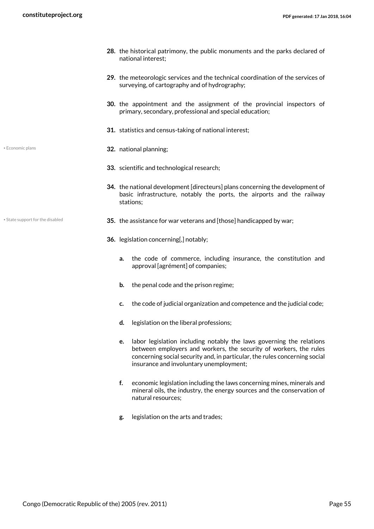- **28.** the historical patrimony, the public monuments and the parks declared of national interest;
- **29.** the meteorologic services and the technical coordination of the services of surveying, of cartography and of hydrography;
- **30.** the appointment and the assignment of the provincial inspectors of primary, secondary, professional and special education;
- **31.** statistics and census-taking of national interest;
- <span id="page-54-0"></span>**Economic plans 1998 12. ational planning**;
	- **33.** scientific and technological research;
	- **34.** the national development [directeurs] plans concerning the development of basic infrastructure, notably the ports, the airports and the railway stations;
- <span id="page-54-1"></span>\*State support for the disabled **35.** the assistance for war veterans and [those] handicapped by war;
	- **36.** legislation concerning[,] notably;
		- **a.** the code of commerce, including insurance, the constitution and approval [agrément] of companies;
		- **b.** the penal code and the prison regime;
		- **c.** the code of judicial organization and competence and the judicial code;
		- **d.** legislation on the liberal professions;
		- **e.** labor legislation including notably the laws governing the relations between employers and workers, the security of workers, the rules concerning social security and, in particular, the rules concerning social insurance and involuntary unemployment;
		- **f.** economic legislation including the laws concerning mines, minerals and mineral oils, the industry, the energy sources and the conservation of natural resources;
		- **g.** legislation on the arts and trades;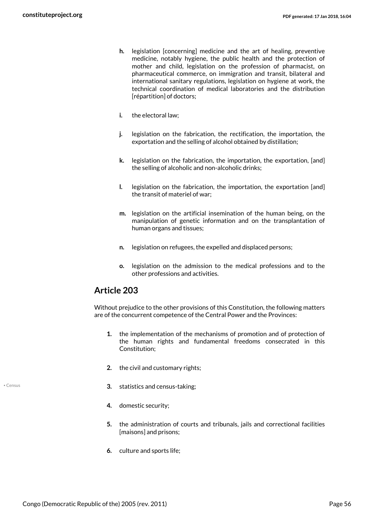- **h.** legislation [concerning] medicine and the art of healing, preventive medicine, notably hygiene, the public health and the protection of mother and child, legislation on the profession of pharmacist, on pharmaceutical commerce, on immigration and transit, bilateral and international sanitary regulations, legislation on hygiene at work, the technical coordination of medical laboratories and the distribution [répartition] of doctors;
- **i.** the electoral law;
- **j.** legislation on the fabrication, the rectification, the importation, the exportation and the selling of alcohol obtained by distillation;
- **k.** legislation on the fabrication, the importation, the exportation, [and] the selling of alcoholic and non-alcoholic drinks;
- **l.** legislation on the fabrication, the importation, the exportation [and] the transit of materiel of war;
- **m.** legislation on the artificial insemination of the human being, on the manipulation of genetic information and on the transplantation of human organs and tissues;
- **n.** legislation on refugees, the expelled and displaced persons;
- **o.** legislation on the admission to the medical professions and to the other professions and activities.

#### **Article 203**

Without prejudice to the other provisions of this Constitution, the following matters are of the concurrent competence of the Central Power and the Provinces:

- **1.** the implementation of the mechanisms of promotion and of protection of the human rights and fundamental freedoms consecrated in this Constitution;
- **2.** the civil and customary rights;
- **3.** statistics and census-taking;
	- **4.** domestic security;
	- **5.** the administration of courts and tribunals, jails and correctional facilities [maisons] and prisons;
	- **6.** culture and sports life;

<span id="page-55-0"></span>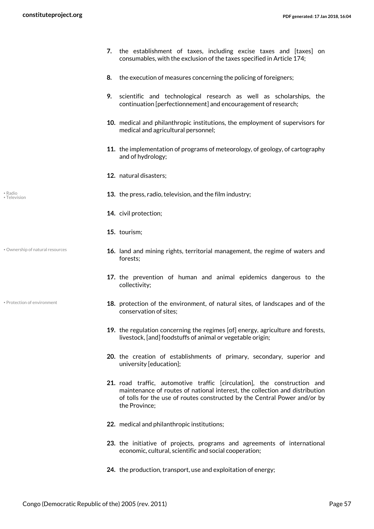- **7.** the establishment of taxes, including excise taxes and [taxes] on consumables, with the exclusion of the taxes specified in Article 174;
- **8.** the execution of measures concerning the policing of foreigners;
- **9.** scientific and technological research as well as scholarships, the continuation [perfectionnement] and encouragement of research;
- **10.** medical and philanthropic institutions, the employment of supervisors for medical and agricultural personnel;
- **11.** the implementation of programs of meteorology, of geology, of cartography and of hydrology;

**12.** natural disasters;

- **13.** the press, radio, television, and the film industry;
- **14.** civil protection;
- **15.** tourism;
- <span id="page-56-0"></span>**16.** land and mining rights, territorial management, the regime of waters and forests;
- **17.** the prevention of human and animal epidemics dangerous to the collectivity;
- <span id="page-56-1"></span>**18.** protection of the environment, of natural sites, of landscapes and of the conservation of sites;
- **19.** the regulation concerning the regimes [of] energy, agriculture and forests, livestock, [and] foodstuffs of animal or vegetable origin;
- **20.** the creation of establishments of primary, secondary, superior and university [education];
- **21.** road traffic, automotive traffic [circulation], the construction and maintenance of routes of national interest, the collection and distribution of tolls for the use of routes constructed by the Central Power and/or by the Province;
- **22.** medical and philanthropic institutions;
- **23.** the initiative of projects, programs and agreements of international economic, cultural, scientific and social cooperation;
- **24.** the production, transport, use and exploitation of energy;

<span id="page-56-3"></span><span id="page-56-2"></span>• Radio<br>• Television

• Ownership of natural resources

• Protection of environment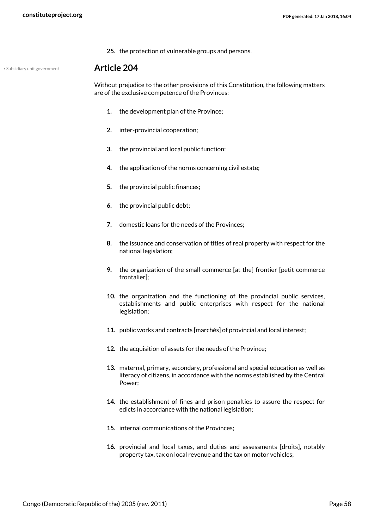**25.** the protection of vulnerable groups and persons.

#### • Subsidiary unit government **Article 204**

<span id="page-57-0"></span>Without prejudice to the other provisions of this Constitution, the following matters are of the exclusive competence of the Provinces:

- **1.** the development plan of the Province;
- **2.** inter-provincial cooperation;
- **3.** the provincial and local public function;
- **4.** the application of the norms concerning civil estate;
- **5.** the provincial public finances;
- **6.** the provincial public debt;
- **7.** domestic loans for the needs of the Provinces;
- **8.** the issuance and conservation of titles of real property with respect for the national legislation;
- **9.** the organization of the small commerce [at the] frontier [petit commerce frontalier];
- **10.** the organization and the functioning of the provincial public services, establishments and public enterprises with respect for the national legislation;
- **11.** public works and contracts [marchés] of provincial and local interest;
- **12.** the acquisition of assets for the needs of the Province;
- **13.** maternal, primary, secondary, professional and special education as well as literacy of citizens, in accordance with the norms established by the Central Power;
- **14.** the establishment of fines and prison penalties to assure the respect for edicts in accordance with the national legislation;
- **15.** internal communications of the Provinces;
- **16.** provincial and local taxes, and duties and assessments [droits], notably property tax, tax on local revenue and the tax on motor vehicles;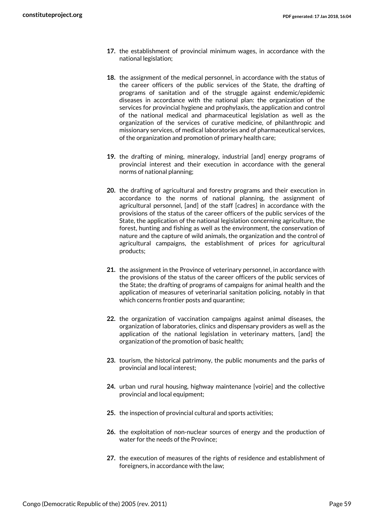- **17.** the establishment of provincial minimum wages, in accordance with the national legislation;
- **18.** the assignment of the medical personnel, in accordance with the status of the career officers of the public services of the State, the drafting of programs of sanitation and of the struggle against endemic/epidemic diseases in accordance with the national plan: the organization of the services for provincial hygiene and prophylaxis, the application and control of the national medical and pharmaceutical legislation as well as the organization of the services of curative medicine, of philanthropic and missionary services, of medical laboratories and of pharmaceutical services, of the organization and promotion of primary health care;
- **19.** the drafting of mining, mineralogy, industrial [and] energy programs of provincial interest and their execution in accordance with the general norms of national planning;
- **20.** the drafting of agricultural and forestry programs and their execution in accordance to the norms of national planning, the assignment of agricultural personnel, [and] of the staff [cadres] in accordance with the provisions of the status of the career officers of the public services of the State, the application of the national legislation concerning agriculture, the forest, hunting and fishing as well as the environment, the conservation of nature and the capture of wild animals, the organization and the control of agricultural campaigns, the establishment of prices for agricultural products;
- **21.** the assignment in the Province of veterinary personnel, in accordance with the provisions of the status of the career officers of the public services of the State; the drafting of programs of campaigns for animal health and the application of measures of veterinarial sanitation policing, notably in that which concerns frontier posts and quarantine;
- **22.** the organization of vaccination campaigns against animal diseases, the organization of laboratories, clinics and dispensary providers as well as the application of the national legislation in veterinary matters, [and] the organization of the promotion of basic health;
- **23.** tourism, the historical patrimony, the public monuments and the parks of provincial and local interest;
- **24.** urban und rural housing, highway maintenance [voirie] and the collective provincial and local equipment;
- **25.** the inspection of provincial cultural and sports activities;
- **26.** the exploitation of non-nuclear sources of energy and the production of water for the needs of the Province;
- **27.** the execution of measures of the rights of residence and establishment of foreigners, in accordance with the law;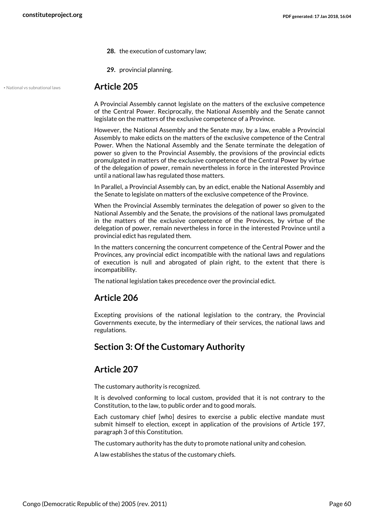- **28.** the execution of customary law;
- **29.** provincial planning.

#### • National vs subnational laws **Article 205**

<span id="page-59-1"></span>A Provincial Assembly cannot legislate on the matters of the exclusive competence of the Central Power. Reciprocally, the National Assembly and the Senate cannot legislate on the matters of the exclusive competence of a Province.

However, the National Assembly and the Senate may, by a law, enable a Provincial Assembly to make edicts on the matters of the exclusive competence of the Central Power. When the National Assembly and the Senate terminate the delegation of power so given to the Provincial Assembly, the provisions of the provincial edicts promulgated in matters of the exclusive competence of the Central Power by virtue of the delegation of power, remain nevertheless in force in the interested Province until a national law has regulated those matters.

In Parallel, a Provincial Assembly can, by an edict, enable the National Assembly and the Senate to legislate on matters of the exclusive competence of the Province.

When the Provincial Assembly terminates the delegation of power so given to the National Assembly and the Senate, the provisions of the national laws promulgated in the matters of the exclusive competence of the Provinces, by virtue of the delegation of power, remain nevertheless in force in the interested Province until a provincial edict has regulated them.

In the matters concerning the concurrent competence of the Central Power and the Provinces, any provincial edict incompatible with the national laws and regulations of execution is null and abrogated of plain right, to the extent that there is incompatibility.

The national legislation takes precedence over the provincial edict.

#### **Article 206**

Excepting provisions of the national legislation to the contrary, the Provincial Governments execute, by the intermediary of their services, the national laws and regulations.

#### <span id="page-59-0"></span>**Section 3: Of the Customary Authority**

#### **Article 207**

The customary authority is recognized.

It is devolved conforming to local custom, provided that it is not contrary to the Constitution, to the law, to public order and to good morals.

Each customary chief [who] desires to exercise a public elective mandate must submit himself to election, except in application of the provisions of Article 197, paragraph 3 of this Constitution.

The customary authority has the duty to promote national unity and cohesion.

A law establishes the status of the customary chiefs.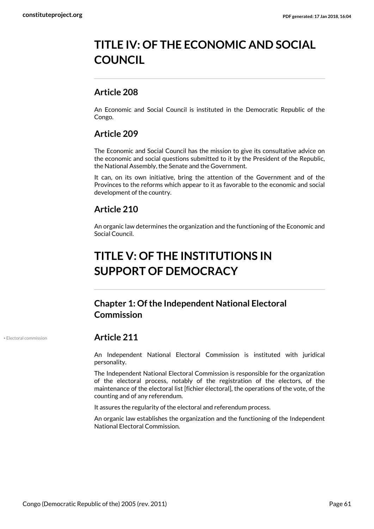# <span id="page-60-0"></span>**TITLE IV: OF THE ECONOMIC AND SOCIAL COUNCIL**

# **Article 208**

An Economic and Social Council is instituted in the Democratic Republic of the Congo.

# **Article 209**

The Economic and Social Council has the mission to give its consultative advice on the economic and social questions submitted to it by the President of the Republic, the National Assembly, the Senate and the Government.

It can, on its own initiative, bring the attention of the Government and of the Provinces to the reforms which appear to it as favorable to the economic and social development of the country.

# **Article 210**

An organic law determines the organization and the functioning of the Economic and Social Council.

# <span id="page-60-1"></span>**TITLE V: OF THE INSTITUTIONS IN SUPPORT OF DEMOCRACY**

# <span id="page-60-2"></span>**Chapter 1: Of the Independent National Electoral Commission**

<span id="page-60-3"></span>

# • Electoral commission **Article 211**

An Independent National Electoral Commission is instituted with juridical personality.

The Independent National Electoral Commission is responsible for the organization of the electoral process, notably of the registration of the electors, of the maintenance of the electoral list [fichier électoral], the operations of the vote, of the counting and of any referendum.

It assures the regularity of the electoral and referendum process.

An organic law establishes the organization and the functioning of the Independent National Electoral Commission.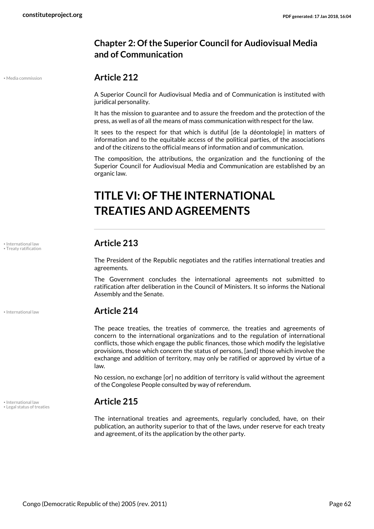# <span id="page-61-0"></span>**Chapter 2: Of the Superior Council for Audiovisual Media and of Communication**

#### <span id="page-61-4"></span>• Media commission **Article 212**

A Superior Council for Audiovisual Media and of Communication is instituted with juridical personality.

It has the mission to guarantee and to assure the freedom and the protection of the press, as well as of all the means of mass communication with respect for the law.

It sees to the respect for that which is dutiful [de la déontologie] in matters of information and to the equitable access of the political parties, of the associations and of the citizens to the official means of information and of communication.

The composition, the attributions, the organization and the functioning of the Superior Council for Audiovisual Media and Communication are established by an organic law.

# <span id="page-61-1"></span>**TITLE VI: OF THE INTERNATIONAL TREATIES AND AGREEMENTS**

# • International law **Article 213** • Treaty ratification

The President of the Republic negotiates and the ratifies international treaties and agreements.

The Government concludes the international agreements not submitted to ratification after deliberation in the Council of Ministers. It so informs the National Assembly and the Senate.

# • International law **Article 214**

The peace treaties, the treaties of commerce, the treaties and agreements of concern to the international organizations and to the regulation of international conflicts, those which engage the public finances, those which modify the legislative provisions, those which concern the status of persons, [and] those which involve the exchange and addition of territory, may only be ratified or approved by virtue of a law.

No cession, no exchange [or] no addition of territory is valid without the agreement of the Congolese People consulted by way of referendum.

<span id="page-61-3"></span>The international treaties and agreements, regularly concluded, have, on their publication, an authority superior to that of the laws, under reserve for each treaty and agreement, of its the application by the other party.

<span id="page-61-5"></span>

<span id="page-61-2"></span>• International law **Article 215** • Legal status of treaties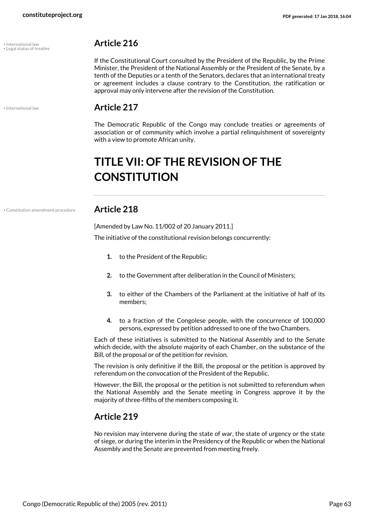<span id="page-62-3"></span>If the Constitutional Court consulted by the President of the Republic, by the Prime Minister, the President of the National Assembly or the President of the Senate, by a tenth of the Deputies or a tenth of the Senators, declares that an international treaty or agreement includes a clause contrary to the Constitution, the ratification or approval may only intervene after the revision of the Constitution.

# <span id="page-62-2"></span>• International law **Article 217**

The Democratic Republic of the Congo may conclude treaties or agreements of association or of community which involve a partial relinquishment of sovereignty with a view to promote African unity.

# <span id="page-62-0"></span>**TITLE VII: OF THE REVISION OF THE CONSTITUTION**

#### • Constitution amendment procedure **Article 218**

<span id="page-62-1"></span>[Amended by Law No. 11/002 of 20 January 2011.]

The initiative of the constitutional revision belongs concurrently:

- **1.** to the President of the Republic;
- **2.** to the Government after deliberation in the Council of Ministers;
- **3.** to either of the Chambers of the Parliament at the initiative of half of its members;
- **4.** to a fraction of the Congolese people, with the concurrence of 100,000 persons, expressed by petition addressed to one of the two Chambers.

Each of these initiatives is submitted to the National Assembly and to the Senate which decide, with the absolute majority of each Chamber, on the substance of the Bill, of the proposal or of the petition for revision.

The revision is only definitive if the Bill, the proposal or the petition is approved by referendum on the convocation of the President of the Republic.

However, the Bill, the proposal or the petition is not submitted to referendum when the National Assembly and the Senate meeting in Congress approve it by the majority of three-fifths of the members composing it.

#### **Article 219**

No revision may intervene during the state of war, the state of urgency or the state of siege, or during the interim in the Presidency of the Republic or when the National Assembly and the Senate are prevented from meeting freely.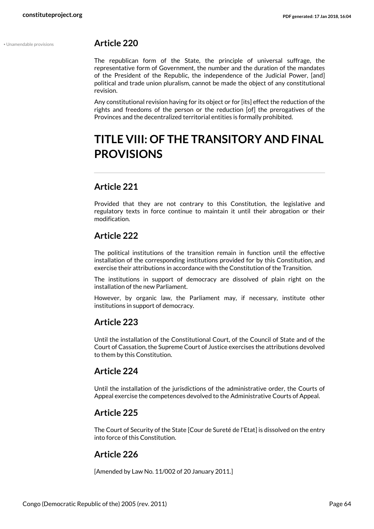#### • Unamendable provisions **Article 220**

<span id="page-63-1"></span>The republican form of the State, the principle of universal suffrage, the representative form of Government, the number and the duration of the mandates of the President of the Republic, the independence of the Judicial Power, [and] political and trade union pluralism, cannot be made the object of any constitutional revision.

Any constitutional revision having for its object or for [its] effect the reduction of the rights and freedoms of the person or the reduction [of] the prerogatives of the Provinces and the decentralized territorial entities is formally prohibited.

# <span id="page-63-0"></span>**TITLE VIII: OF THE TRANSITORY AND FINAL PROVISIONS**

# **Article 221**

Provided that they are not contrary to this Constitution, the legislative and regulatory texts in force continue to maintain it until their abrogation or their modification.

# **Article 222**

The political institutions of the transition remain in function until the effective installation of the corresponding institutions provided for by this Constitution, and exercise their attributions in accordance with the Constitution of the Transition.

The institutions in support of democracy are dissolved of plain right on the installation of the new Parliament.

However, by organic law, the Parliament may, if necessary, institute other institutions in support of democracy.

# **Article 223**

Until the installation of the Constitutional Court, of the Council of State and of the Court of Cassation, the Supreme Court of Justice exercises the attributions devolved to them by this Constitution.

# **Article 224**

Until the installation of the jurisdictions of the administrative order, the Courts of Appeal exercise the competences devolved to the Administrative Courts of Appeal.

# **Article 225**

The Court of Security of the State [Cour de Sureté de l'Etat] is dissolved on the entry into force of this Constitution.

# **Article 226**

[Amended by Law No. 11/002 of 20 January 2011.]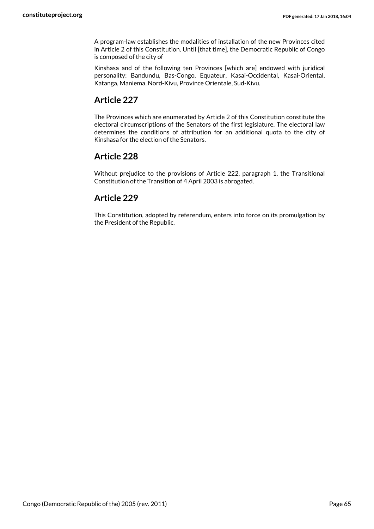A program-law establishes the modalities of installation of the new Provinces cited in Article 2 of this Constitution. Until [that time], the Democratic Republic of Congo is composed of the city of

Kinshasa and of the following ten Provinces [which are] endowed with juridical personality: Bandundu, Bas-Congo, Equateur, Kasai-Occidental, Kasai-Oriental, Katanga, Maniema, Nord-Kivu, Province Orientale, Sud-Kivu.

# **Article 227**

The Provinces which are enumerated by Article 2 of this Constitution constitute the electoral circumscriptions of the Senators of the first legislature. The electoral law determines the conditions of attribution for an additional quota to the city of Kinshasa for the election of the Senators.

# **Article 228**

Without prejudice to the provisions of Article 222, paragraph 1, the Transitional Constitution of the Transition of 4 April 2003 is abrogated.

# **Article 229**

This Constitution, adopted by referendum, enters into force on its promulgation by the President of the Republic.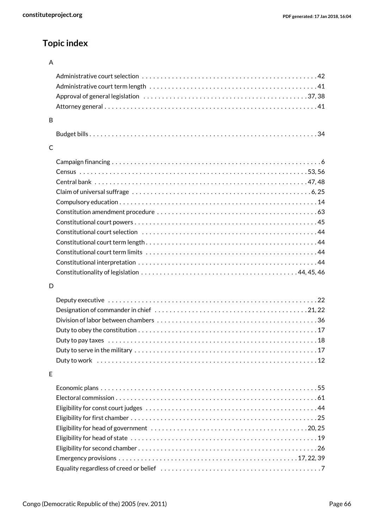# **Topic index**

#### A

| B |                                                                                                                |
|---|----------------------------------------------------------------------------------------------------------------|
|   |                                                                                                                |
| Ċ |                                                                                                                |
|   |                                                                                                                |
|   |                                                                                                                |
|   |                                                                                                                |
|   | Claim of universal suffrage $\dots\dots\dots\dots\dots\dots\dots\dots\dots\dots\dots\dots\dots\dots\dots\dots$ |
|   |                                                                                                                |
|   |                                                                                                                |
|   |                                                                                                                |
|   |                                                                                                                |
|   |                                                                                                                |
|   |                                                                                                                |
|   |                                                                                                                |
|   |                                                                                                                |
| D |                                                                                                                |
|   |                                                                                                                |
|   |                                                                                                                |
|   |                                                                                                                |
|   |                                                                                                                |
|   | Duty to pay taxes $\dots\dots\dots\dots\dots\dots\dots\dots\dots\dots\dots\dots\dots\dots\dots\dots\dots\dots$ |
|   |                                                                                                                |
|   |                                                                                                                |
| E |                                                                                                                |
|   |                                                                                                                |
|   |                                                                                                                |
|   |                                                                                                                |
|   |                                                                                                                |
|   |                                                                                                                |
|   |                                                                                                                |
|   |                                                                                                                |
|   |                                                                                                                |
|   |                                                                                                                |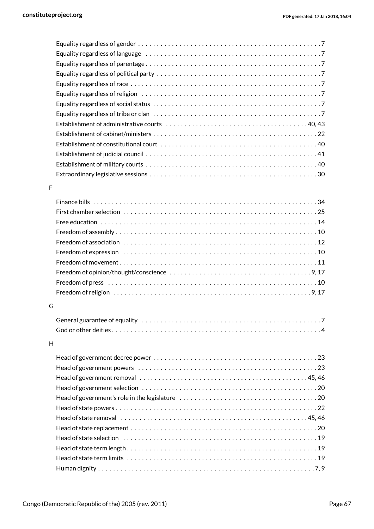| F |  |
|---|--|
|   |  |
|   |  |
|   |  |
|   |  |
|   |  |
|   |  |
|   |  |
|   |  |
|   |  |
|   |  |
|   |  |
| G |  |
|   |  |
|   |  |
|   |  |
| H |  |
|   |  |
|   |  |
|   |  |
|   |  |
|   |  |
|   |  |
|   |  |
|   |  |
|   |  |
|   |  |
|   |  |
|   |  |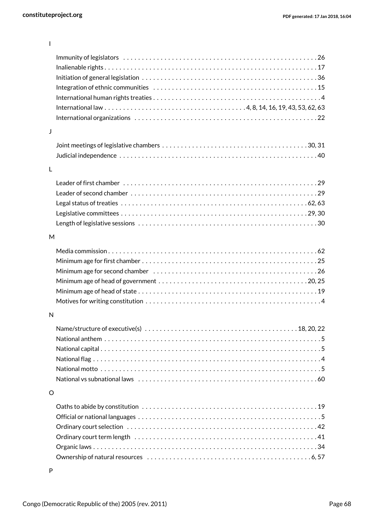| $\mathbf{I}$ |                                                                                                                                |
|--------------|--------------------------------------------------------------------------------------------------------------------------------|
|              |                                                                                                                                |
|              |                                                                                                                                |
|              |                                                                                                                                |
|              |                                                                                                                                |
|              |                                                                                                                                |
|              |                                                                                                                                |
|              |                                                                                                                                |
| J            |                                                                                                                                |
|              |                                                                                                                                |
|              |                                                                                                                                |
| $\mathsf{L}$ |                                                                                                                                |
|              |                                                                                                                                |
|              |                                                                                                                                |
|              |                                                                                                                                |
|              |                                                                                                                                |
|              |                                                                                                                                |
| M            |                                                                                                                                |
|              |                                                                                                                                |
|              |                                                                                                                                |
|              |                                                                                                                                |
|              | Minimum age of head of government $\ldots \ldots \ldots \ldots \ldots \ldots \ldots \ldots \ldots \ldots \ldots \ldots \ldots$ |
|              |                                                                                                                                |
|              |                                                                                                                                |
| N            |                                                                                                                                |
|              | Name/structure of executive(s) $\dots\dots\dots\dots\dots\dots\dots\dots\dots\dots\dots\dots\dots\dots$                        |
|              |                                                                                                                                |
|              |                                                                                                                                |
|              |                                                                                                                                |
|              |                                                                                                                                |
|              | National vs subnational laws entitled values of the series of the series of the series of the series of the se                 |
| O            |                                                                                                                                |
|              |                                                                                                                                |
|              |                                                                                                                                |
|              |                                                                                                                                |
|              |                                                                                                                                |
|              |                                                                                                                                |
|              |                                                                                                                                |
| P            |                                                                                                                                |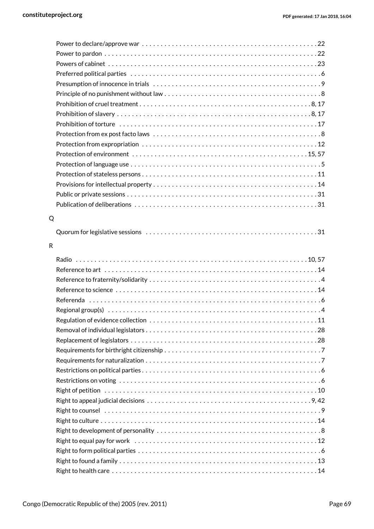| Q |  |
|---|--|
|   |  |
| R |  |
|   |  |
|   |  |
|   |  |
|   |  |
|   |  |
|   |  |
|   |  |
|   |  |
|   |  |
|   |  |
|   |  |
|   |  |
|   |  |
|   |  |
|   |  |
|   |  |
|   |  |
|   |  |
|   |  |
|   |  |
|   |  |
|   |  |
|   |  |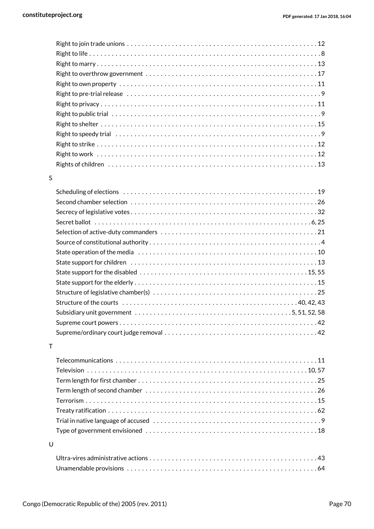| S |  |
|---|--|
|   |  |
|   |  |
|   |  |
|   |  |
|   |  |
|   |  |
|   |  |
|   |  |

State support for children . . . . . . . . . . . . . . . . . . . . . . . . . . . . . . . . . . . . . . . . . . . . . . . . . . [13](#page-12-3) State support for the disabled . . . . . . . . . . . . . . . . . . . . . . . . . . . . . . . . . . . . . . . . . . . . . [15,](#page-14-4) [55](#page-54-1) State support for the elderly . . . . . . . . . . . . . . . . . . . . . . . . . . . . . . . . . . . . . . . . . . . . . . . . . [15](#page-14-5) Structure of legislative chamber(s) . . . . . . . . . . . . . . . . . . . . . . . . . . . . . . . . . . . . . . . . . . . . [25](#page-24-9) Structure of the courts . . . . . . . . . . . . . . . . . . . . . . . . . . . . . . . . . . . . . . . . . . . . . . . [40,](#page-39-6) [42,](#page-41-4) [43](#page-42-4) Subsidiary unit government . . . . . . . . . . . . . . . . . . . . . . . . . . . . . . . . . . . . . . . . . . [5](#page-4-5), [51,](#page-50-2) [52,](#page-51-0) [58](#page-57-0) Supreme court powers . . . . . . . . . . . . . . . . . . . . . . . . . . . . . . . . . . . . . . . . . . . . . . . . . . . . . [42](#page-41-5) Supreme/ordinary court judge removal . . . . . . . . . . . . . . . . . . . . . . . . . . . . . . . . . . . . . . . . . [42](#page-41-6)

#### T

| $\cup$ |  |
|--------|--|
|        |  |
|        |  |